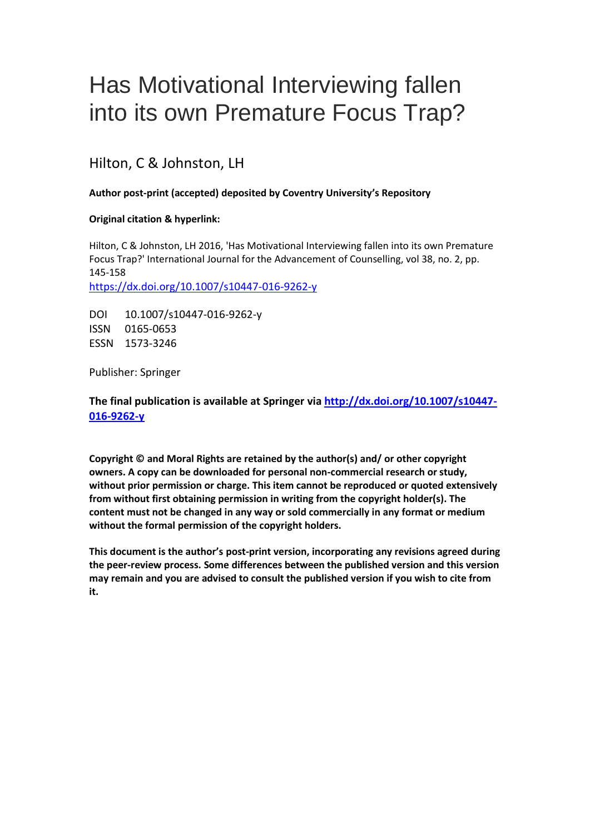# Has Motivational Interviewing fallen into its own Premature Focus Trap?

# Hilton, C & Johnston, LH

# **Author post-print (accepted) deposited by Coventry University's Repository**

## **Original citation & hyperlink:**

Hilton, C & Johnston, LH 2016, 'Has Motivational Interviewing fallen into its own Premature Focus Trap?' International Journal for the Advancement of Counselling, vol 38, no. 2, pp. 145-158 <https://dx.doi.org/10.1007/s10447-016-9262-y>

DOI 10.1007/s10447-016-9262-y ISSN 0165-0653 ESSN 1573-3246

Publisher: Springer

**The final publication is available at Springer via [http://dx.doi.org/10.1007/s10447-](http://dx.doi.org/10.1007/s10447-016-9262-y) [016-9262-y](http://dx.doi.org/10.1007/s10447-016-9262-y)**

**Copyright © and Moral Rights are retained by the author(s) and/ or other copyright owners. A copy can be downloaded for personal non-commercial research or study, without prior permission or charge. This item cannot be reproduced or quoted extensively from without first obtaining permission in writing from the copyright holder(s). The content must not be changed in any way or sold commercially in any format or medium without the formal permission of the copyright holders.** 

**This document is the author's post-print version, incorporating any revisions agreed during the peer-review process. Some differences between the published version and this version may remain and you are advised to consult the published version if you wish to cite from it.**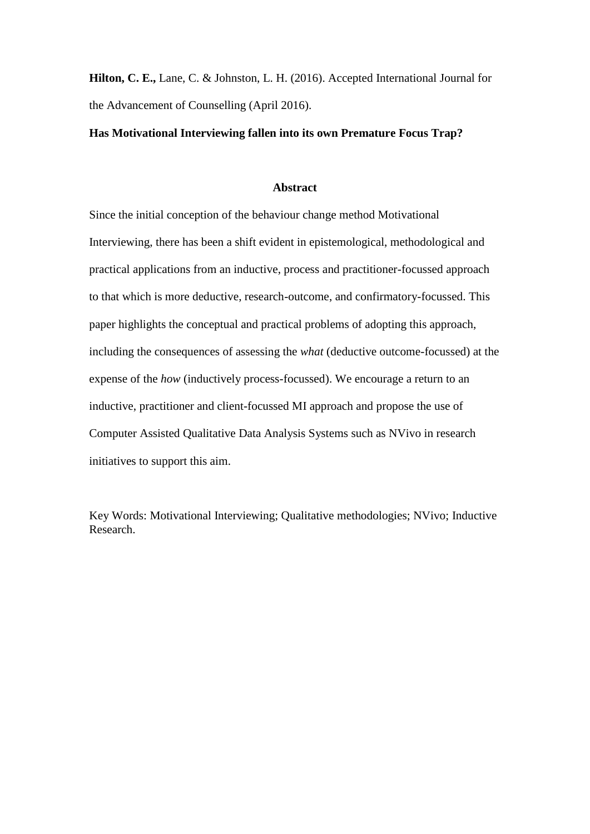**Hilton, C. E.,** Lane, C. & Johnston, L. H. (2016). Accepted International Journal for the Advancement of Counselling (April 2016).

## **Has Motivational Interviewing fallen into its own Premature Focus Trap?**

#### **Abstract**

Since the initial conception of the behaviour change method Motivational Interviewing, there has been a shift evident in epistemological, methodological and practical applications from an inductive, process and practitioner-focussed approach to that which is more deductive, research-outcome, and confirmatory-focussed. This paper highlights the conceptual and practical problems of adopting this approach, including the consequences of assessing the *what* (deductive outcome-focussed) at the expense of the *how* (inductively process-focussed). We encourage a return to an inductive, practitioner and client-focussed MI approach and propose the use of Computer Assisted Qualitative Data Analysis Systems such as NVivo in research initiatives to support this aim.

Key Words: Motivational Interviewing; Qualitative methodologies; NVivo; Inductive Research.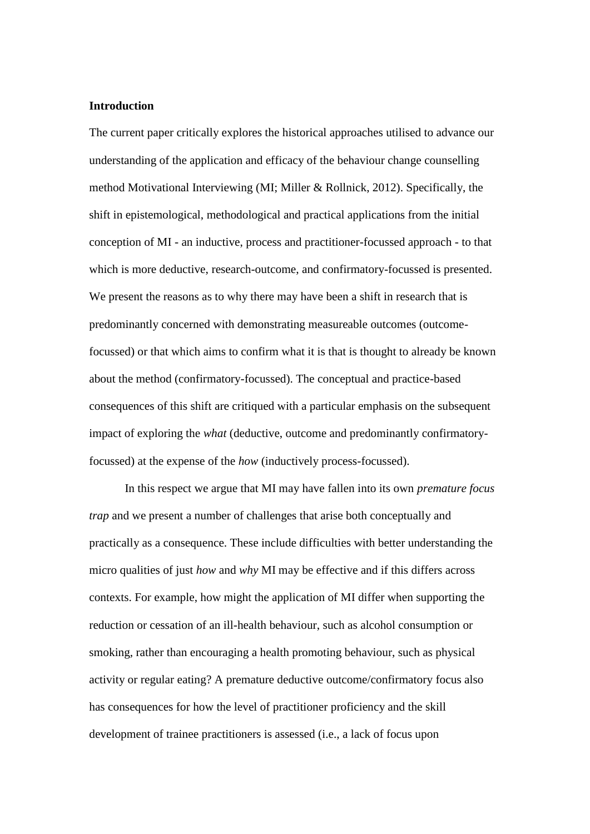# **Introduction**

The current paper critically explores the historical approaches utilised to advance our understanding of the application and efficacy of the behaviour change counselling method Motivational Interviewing (MI; Miller & Rollnick, 2012). Specifically, the shift in epistemological, methodological and practical applications from the initial conception of MI - an inductive, process and practitioner-focussed approach - to that which is more deductive, research-outcome, and confirmatory-focussed is presented. We present the reasons as to why there may have been a shift in research that is predominantly concerned with demonstrating measureable outcomes (outcomefocussed) or that which aims to confirm what it is that is thought to already be known about the method (confirmatory-focussed). The conceptual and practice-based consequences of this shift are critiqued with a particular emphasis on the subsequent impact of exploring the *what* (deductive, outcome and predominantly confirmatoryfocussed) at the expense of the *how* (inductively process-focussed).

In this respect we argue that MI may have fallen into its own *premature focus trap* and we present a number of challenges that arise both conceptually and practically as a consequence. These include difficulties with better understanding the micro qualities of just *how* and *why* MI may be effective and if this differs across contexts. For example, how might the application of MI differ when supporting the reduction or cessation of an ill-health behaviour, such as alcohol consumption or smoking, rather than encouraging a health promoting behaviour, such as physical activity or regular eating? A premature deductive outcome/confirmatory focus also has consequences for how the level of practitioner proficiency and the skill development of trainee practitioners is assessed (i.e., a lack of focus upon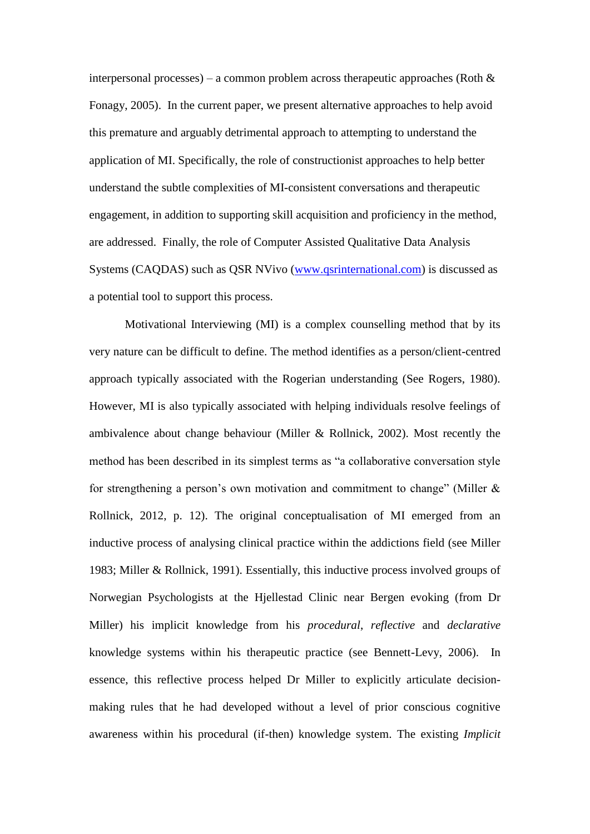interpersonal processes) – a common problem across therapeutic approaches (Roth  $\&$ Fonagy, 2005). In the current paper, we present alternative approaches to help avoid this premature and arguably detrimental approach to attempting to understand the application of MI. Specifically, the role of constructionist approaches to help better understand the subtle complexities of MI-consistent conversations and therapeutic engagement, in addition to supporting skill acquisition and proficiency in the method, are addressed. Finally, the role of Computer Assisted Qualitative Data Analysis Systems (CAQDAS) such as QSR NVivo [\(www.qsrinternational.com\)](http://www.qsrinternational.com/) is discussed as a potential tool to support this process.

Motivational Interviewing (MI) is a complex counselling method that by its very nature can be difficult to define. The method identifies as a person/client-centred approach typically associated with the Rogerian understanding (See Rogers, 1980). However, MI is also typically associated with helping individuals resolve feelings of ambivalence about change behaviour (Miller & Rollnick, 2002). Most recently the method has been described in its simplest terms as "a collaborative conversation style for strengthening a person's own motivation and commitment to change" (Miller  $\&$ Rollnick, 2012, p. 12). The original conceptualisation of MI emerged from an inductive process of analysing clinical practice within the addictions field (see Miller 1983; Miller & Rollnick, 1991). Essentially, this inductive process involved groups of Norwegian Psychologists at the Hjellestad Clinic near Bergen evoking (from Dr Miller) his implicit knowledge from his *procedural*, *reflective* and *declarative* knowledge systems within his therapeutic practice (see Bennett-Levy, 2006). In essence, this reflective process helped Dr Miller to explicitly articulate decisionmaking rules that he had developed without a level of prior conscious cognitive awareness within his procedural (if-then) knowledge system. The existing *Implicit*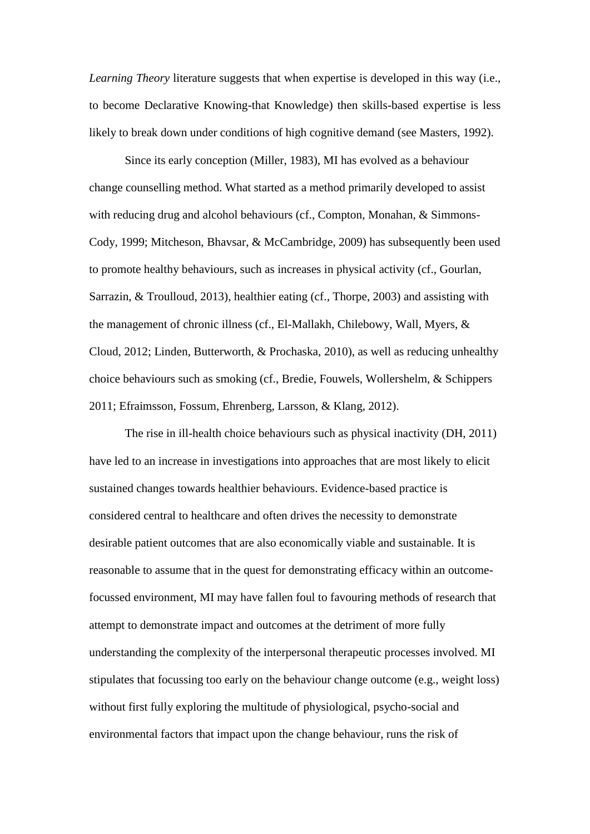*Learning Theory* literature suggests that when expertise is developed in this way (i.e., to become Declarative Knowing-that Knowledge) then skills-based expertise is less likely to break down under conditions of high cognitive demand (see Masters, 1992).

Since its early conception (Miller, 1983), MI has evolved as a behaviour change counselling method. What started as a method primarily developed to assist with reducing drug and alcohol behaviours (cf., Compton, Monahan, & Simmons-Cody, 1999; Mitcheson, Bhavsar, & McCambridge, 2009) has subsequently been used to promote healthy behaviours, such as increases in physical activity (cf., Gourlan, Sarrazin, & Troulloud, 2013), healthier eating (cf., Thorpe, 2003) and assisting with the management of chronic illness (cf., El-Mallakh, Chilebowy, Wall, Myers, & Cloud, 2012; Linden, Butterworth, & Prochaska, 2010), as well as reducing unhealthy choice behaviours such as smoking (cf., Bredie, Fouwels, Wollershelm, & Schippers 2011; Efraimsson, Fossum, Ehrenberg, Larsson, & Klang, 2012).

The rise in ill-health choice behaviours such as physical inactivity (DH, 2011) have led to an increase in investigations into approaches that are most likely to elicit sustained changes towards healthier behaviours. Evidence-based practice is considered central to healthcare and often drives the necessity to demonstrate desirable patient outcomes that are also economically viable and sustainable. It is reasonable to assume that in the quest for demonstrating efficacy within an outcomefocussed environment, MI may have fallen foul to favouring methods of research that attempt to demonstrate impact and outcomes at the detriment of more fully understanding the complexity of the interpersonal therapeutic processes involved. MI stipulates that focussing too early on the behaviour change outcome (e.g., weight loss) without first fully exploring the multitude of physiological, psycho-social and environmental factors that impact upon the change behaviour, runs the risk of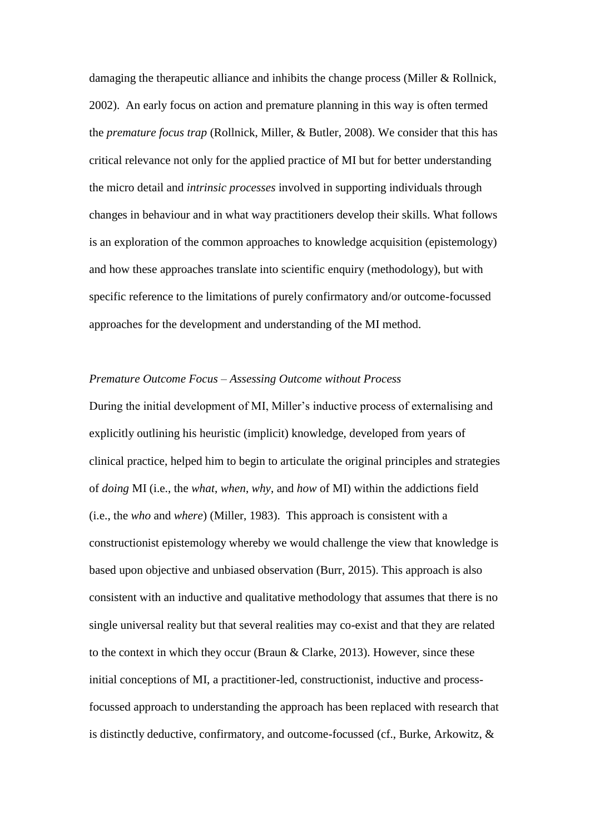damaging the therapeutic alliance and inhibits the change process (Miller & Rollnick, 2002). An early focus on action and premature planning in this way is often termed the *premature focus trap* (Rollnick, Miller, & Butler, 2008). We consider that this has critical relevance not only for the applied practice of MI but for better understanding the micro detail and *intrinsic processes* involved in supporting individuals through changes in behaviour and in what way practitioners develop their skills. What follows is an exploration of the common approaches to knowledge acquisition (epistemology) and how these approaches translate into scientific enquiry (methodology), but with specific reference to the limitations of purely confirmatory and/or outcome-focussed approaches for the development and understanding of the MI method.

# *Premature Outcome Focus – Assessing Outcome without Process*

During the initial development of MI, Miller's inductive process of externalising and explicitly outlining his heuristic (implicit) knowledge, developed from years of clinical practice, helped him to begin to articulate the original principles and strategies of *doing* MI (i.e., the *what*, *when*, *why*, and *how* of MI) within the addictions field (i.e., the *who* and *where*) (Miller, 1983). This approach is consistent with a constructionist epistemology whereby we would challenge the view that knowledge is based upon objective and unbiased observation (Burr, 2015). This approach is also consistent with an inductive and qualitative methodology that assumes that there is no single universal reality but that several realities may co-exist and that they are related to the context in which they occur (Braun & Clarke, 2013). However, since these initial conceptions of MI, a practitioner-led, constructionist, inductive and processfocussed approach to understanding the approach has been replaced with research that is distinctly deductive, confirmatory, and outcome-focussed (cf., Burke, Arkowitz, &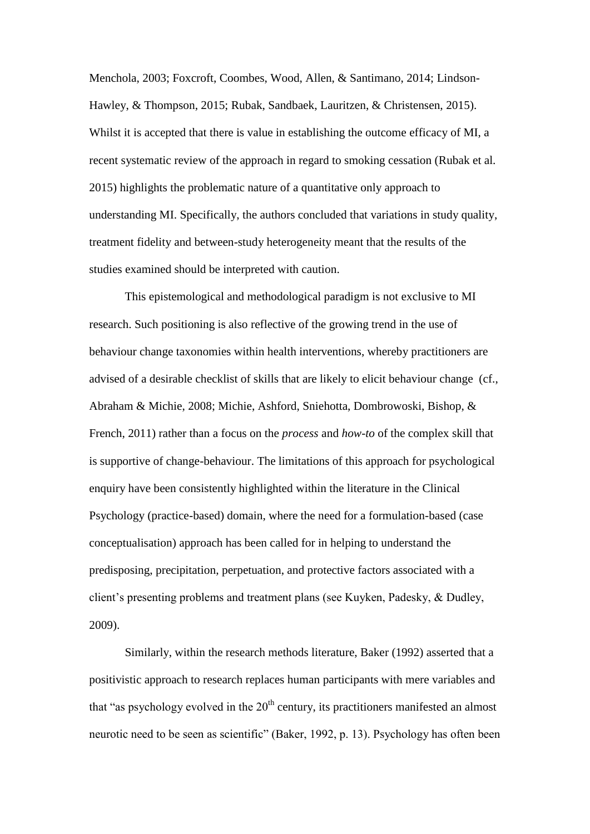Menchola, 2003; Foxcroft, Coombes, Wood, Allen, & Santimano, 2014; Lindson-Hawley, & Thompson, 2015; Rubak, Sandbaek, Lauritzen, & Christensen, 2015). Whilst it is accepted that there is value in establishing the outcome efficacy of MI, a recent systematic review of the approach in regard to smoking cessation (Rubak et al. 2015) highlights the problematic nature of a quantitative only approach to understanding MI. Specifically, the authors concluded that variations in study quality, treatment fidelity and between-study heterogeneity meant that the results of the studies examined should be interpreted with caution.

This epistemological and methodological paradigm is not exclusive to MI research. Such positioning is also reflective of the growing trend in the use of behaviour change taxonomies within health interventions, whereby practitioners are advised of a desirable checklist of skills that are likely to elicit behaviour change (cf., Abraham & Michie, 2008; Michie, Ashford, Sniehotta, Dombrowoski, Bishop, & French, 2011) rather than a focus on the *process* and *how-to* of the complex skill that is supportive of change-behaviour. The limitations of this approach for psychological enquiry have been consistently highlighted within the literature in the Clinical Psychology (practice-based) domain, where the need for a formulation-based (case conceptualisation) approach has been called for in helping to understand the predisposing, precipitation, perpetuation, and protective factors associated with a client's presenting problems and treatment plans (see Kuyken, Padesky, & Dudley, 2009).

Similarly, within the research methods literature, Baker (1992) asserted that a positivistic approach to research replaces human participants with mere variables and that "as psychology evolved in the  $20<sup>th</sup>$  century, its practitioners manifested an almost neurotic need to be seen as scientific" (Baker, 1992, p. 13). Psychology has often been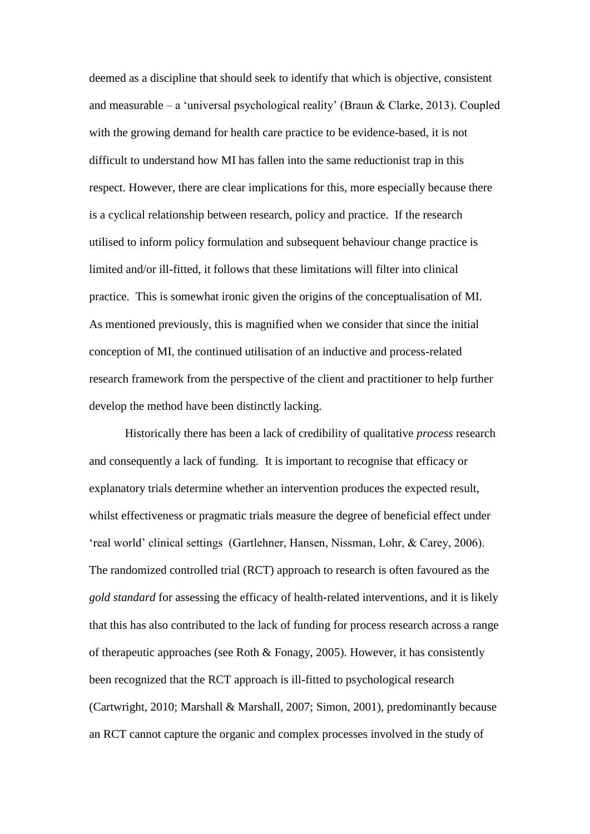deemed as a discipline that should seek to identify that which is objective, consistent and measurable – a 'universal psychological reality' (Braun & Clarke, 2013). Coupled with the growing demand for health care practice to be evidence-based, it is not difficult to understand how MI has fallen into the same reductionist trap in this respect. However, there are clear implications for this, more especially because there is a cyclical relationship between research, policy and practice. If the research utilised to inform policy formulation and subsequent behaviour change practice is limited and/or ill-fitted, it follows that these limitations will filter into clinical practice. This is somewhat ironic given the origins of the conceptualisation of MI. As mentioned previously, this is magnified when we consider that since the initial conception of MI, the continued utilisation of an inductive and process-related research framework from the perspective of the client and practitioner to help further develop the method have been distinctly lacking.

Historically there has been a lack of credibility of qualitative *process* research and consequently a lack of funding. It is important to recognise that efficacy or explanatory trials determine whether an intervention produces the expected result, whilst effectiveness or pragmatic trials measure the degree of beneficial effect under 'real world' clinical settings (Gartlehner, Hansen, Nissman, Lohr, & Carey, 2006). The randomized controlled trial (RCT) approach to research is often favoured as the *gold standard* for assessing the efficacy of health-related interventions, and it is likely that this has also contributed to the lack of funding for process research across a range of therapeutic approaches (see Roth & Fonagy, 2005). However, it has consistently been recognized that the RCT approach is ill-fitted to psychological research (Cartwright, 2010; Marshall & Marshall, 2007; Simon, 2001), predominantly because an RCT cannot capture the organic and complex processes involved in the study of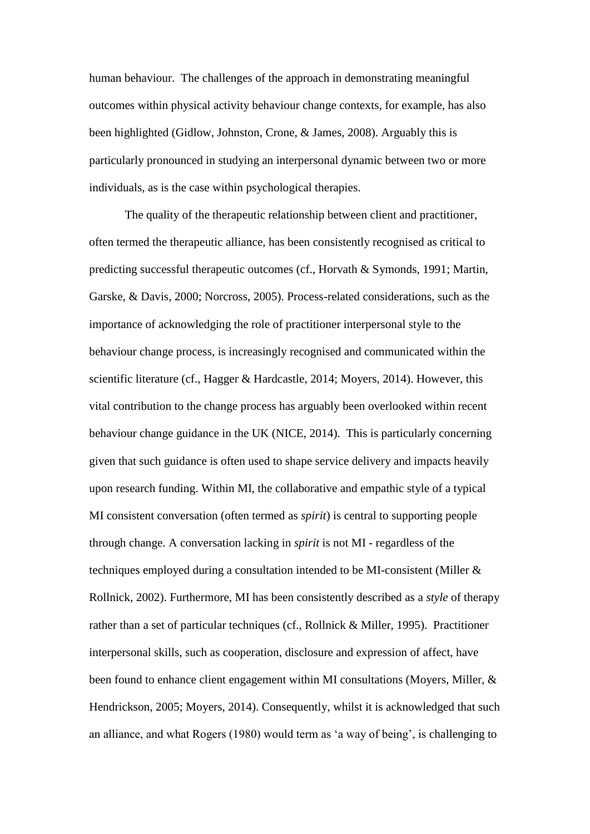human behaviour. The challenges of the approach in demonstrating meaningful outcomes within physical activity behaviour change contexts, for example, has also been highlighted (Gidlow, Johnston, Crone, & James, 2008). Arguably this is particularly pronounced in studying an interpersonal dynamic between two or more individuals, as is the case within psychological therapies.

The quality of the therapeutic relationship between client and practitioner, often termed the therapeutic alliance, has been consistently recognised as critical to predicting successful therapeutic outcomes (cf., Horvath & Symonds, 1991; Martin, Garske, & Davis, 2000; Norcross, 2005). Process-related considerations, such as the importance of acknowledging the role of practitioner interpersonal style to the behaviour change process, is increasingly recognised and communicated within the scientific literature (cf., Hagger & Hardcastle, 2014; Moyers, 2014). However, this vital contribution to the change process has arguably been overlooked within recent behaviour change guidance in the UK (NICE, 2014). This is particularly concerning given that such guidance is often used to shape service delivery and impacts heavily upon research funding. Within MI, the collaborative and empathic style of a typical MI consistent conversation (often termed as *spirit*) is central to supporting people through change. A conversation lacking in *spirit* is not MI - regardless of the techniques employed during a consultation intended to be MI-consistent (Miller & Rollnick, 2002). Furthermore, MI has been consistently described as a *style* of therapy rather than a set of particular techniques (cf., Rollnick & Miller, 1995). Practitioner interpersonal skills, such as cooperation, disclosure and expression of affect, have been found to enhance client engagement within MI consultations (Moyers, Miller, & Hendrickson, 2005; Moyers, 2014). Consequently, whilst it is acknowledged that such an alliance, and what Rogers (1980) would term as 'a way of being', is challenging to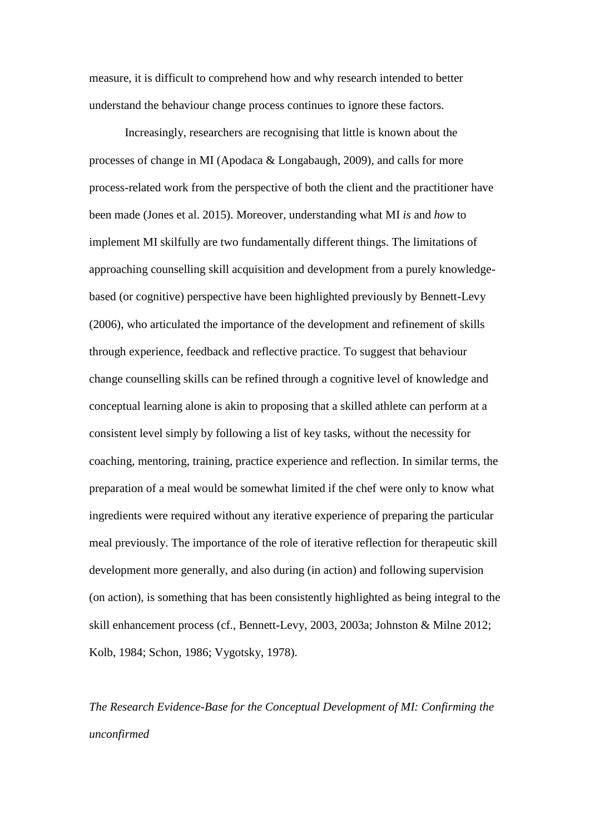measure, it is difficult to comprehend how and why research intended to better understand the behaviour change process continues to ignore these factors.

Increasingly, researchers are recognising that little is known about the processes of change in MI (Apodaca & Longabaugh, 2009), and calls for more process-related work from the perspective of both the client and the practitioner have been made (Jones et al. 2015). Moreover, understanding what MI *is* and *how* to implement MI skilfully are two fundamentally different things. The limitations of approaching counselling skill acquisition and development from a purely knowledgebased (or cognitive) perspective have been highlighted previously by Bennett-Levy (2006), who articulated the importance of the development and refinement of skills through experience, feedback and reflective practice. To suggest that behaviour change counselling skills can be refined through a cognitive level of knowledge and conceptual learning alone is akin to proposing that a skilled athlete can perform at a consistent level simply by following a list of key tasks, without the necessity for coaching, mentoring, training, practice experience and reflection. In similar terms, the preparation of a meal would be somewhat limited if the chef were only to know what ingredients were required without any iterative experience of preparing the particular meal previously. The importance of the role of iterative reflection for therapeutic skill development more generally, and also during (in action) and following supervision (on action), is something that has been consistently highlighted as being integral to the skill enhancement process (cf., Bennett-Levy, 2003, 2003a; Johnston & Milne 2012; Kolb, 1984; Schon, 1986; Vygotsky, 1978).

*The Research Evidence-Base for the Conceptual Development of MI: Confirming the unconfirmed*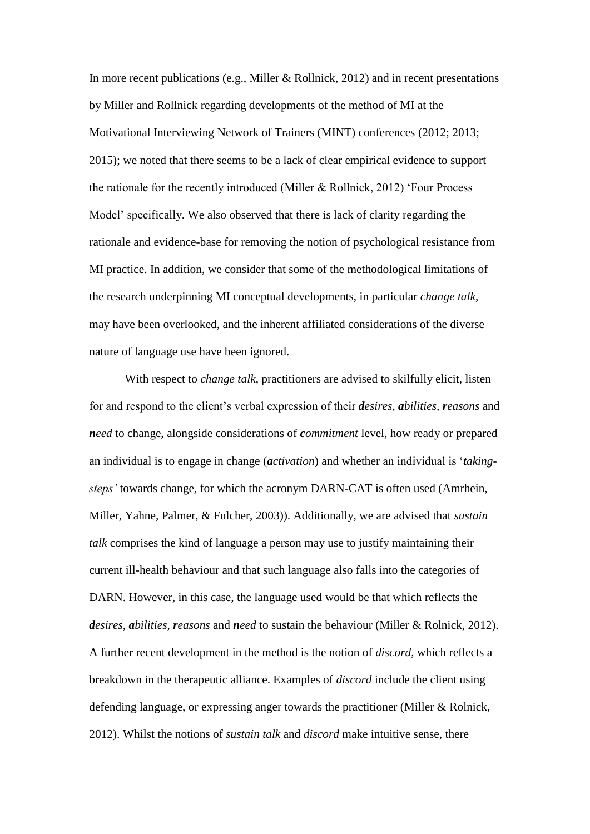In more recent publications (e.g., Miller & Rollnick, 2012) and in recent presentations by Miller and Rollnick regarding developments of the method of MI at the Motivational Interviewing Network of Trainers (MINT) conferences (2012; 2013; 2015); we noted that there seems to be a lack of clear empirical evidence to support the rationale for the recently introduced (Miller & Rollnick, 2012) 'Four Process Model' specifically. We also observed that there is lack of clarity regarding the rationale and evidence-base for removing the notion of psychological resistance from MI practice. In addition, we consider that some of the methodological limitations of the research underpinning MI conceptual developments, in particular *change talk*, may have been overlooked, and the inherent affiliated considerations of the diverse nature of language use have been ignored.

With respect to *change talk*, practitioners are advised to skilfully elicit, listen for and respond to the client's verbal expression of their *desires, abilities, reasons* and *need* to change, alongside considerations of *commitment* level, how ready or prepared an individual is to engage in change (*activation*) and whether an individual is '*takingsteps'* towards change, for which the acronym DARN-CAT is often used (Amrhein, Miller, Yahne, Palmer, & Fulcher, 2003)). Additionally, we are advised that *sustain talk* comprises the kind of language a person may use to justify maintaining their current ill-health behaviour and that such language also falls into the categories of DARN. However, in this case, the language used would be that which reflects the *desires, abilities, reasons* and *need* to sustain the behaviour (Miller & Rolnick, 2012). A further recent development in the method is the notion of *discord,* which reflects a breakdown in the therapeutic alliance. Examples of *discord* include the client using defending language, or expressing anger towards the practitioner (Miller & Rolnick, 2012). Whilst the notions of *sustain talk* and *discord* make intuitive sense, there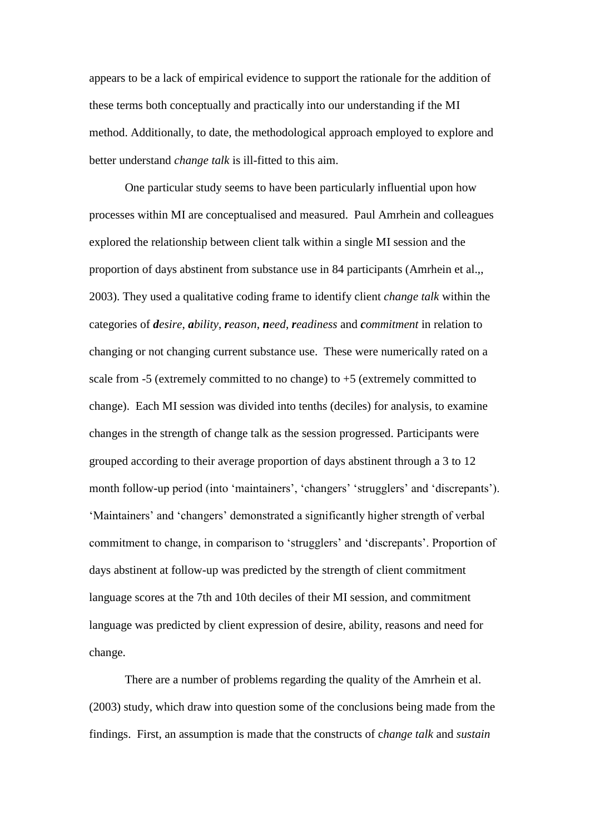appears to be a lack of empirical evidence to support the rationale for the addition of these terms both conceptually and practically into our understanding if the MI method. Additionally, to date, the methodological approach employed to explore and better understand *change talk* is ill-fitted to this aim.

One particular study seems to have been particularly influential upon how processes within MI are conceptualised and measured. Paul Amrhein and colleagues explored the relationship between client talk within a single MI session and the proportion of days abstinent from substance use in 84 participants (Amrhein et al.,, 2003). They used a qualitative coding frame to identify client *change talk* within the categories of *desire*, *ability*, *reason*, *need*, *readiness* and *commitment* in relation to changing or not changing current substance use. These were numerically rated on a scale from -5 (extremely committed to no change) to +5 (extremely committed to change). Each MI session was divided into tenths (deciles) for analysis, to examine changes in the strength of change talk as the session progressed. Participants were grouped according to their average proportion of days abstinent through a 3 to 12 month follow-up period (into 'maintainers', 'changers' 'strugglers' and 'discrepants'). 'Maintainers' and 'changers' demonstrated a significantly higher strength of verbal commitment to change, in comparison to 'strugglers' and 'discrepants'. Proportion of days abstinent at follow-up was predicted by the strength of client commitment language scores at the 7th and 10th deciles of their MI session, and commitment language was predicted by client expression of desire, ability, reasons and need for change.

There are a number of problems regarding the quality of the Amrhein et al. (2003) study, which draw into question some of the conclusions being made from the findings. First, an assumption is made that the constructs of c*hange talk* and *sustain*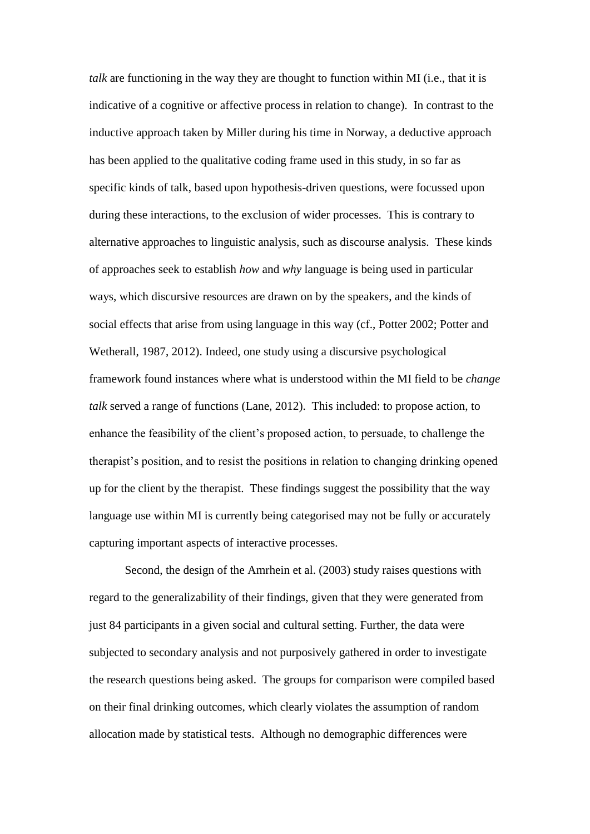*talk* are functioning in the way they are thought to function within MI (i.e., that it is indicative of a cognitive or affective process in relation to change). In contrast to the inductive approach taken by Miller during his time in Norway, a deductive approach has been applied to the qualitative coding frame used in this study, in so far as specific kinds of talk, based upon hypothesis-driven questions, were focussed upon during these interactions, to the exclusion of wider processes. This is contrary to alternative approaches to linguistic analysis, such as discourse analysis. These kinds of approaches seek to establish *how* and *why* language is being used in particular ways, which discursive resources are drawn on by the speakers, and the kinds of social effects that arise from using language in this way (cf., Potter 2002; Potter and Wetherall, 1987, 2012). Indeed, one study using a discursive psychological framework found instances where what is understood within the MI field to be *change talk* served a range of functions (Lane, 2012). This included: to propose action, to enhance the feasibility of the client's proposed action, to persuade, to challenge the therapist's position, and to resist the positions in relation to changing drinking opened up for the client by the therapist. These findings suggest the possibility that the way language use within MI is currently being categorised may not be fully or accurately capturing important aspects of interactive processes.

Second, the design of the Amrhein et al. (2003) study raises questions with regard to the generalizability of their findings, given that they were generated from just 84 participants in a given social and cultural setting. Further, the data were subjected to secondary analysis and not purposively gathered in order to investigate the research questions being asked. The groups for comparison were compiled based on their final drinking outcomes, which clearly violates the assumption of random allocation made by statistical tests. Although no demographic differences were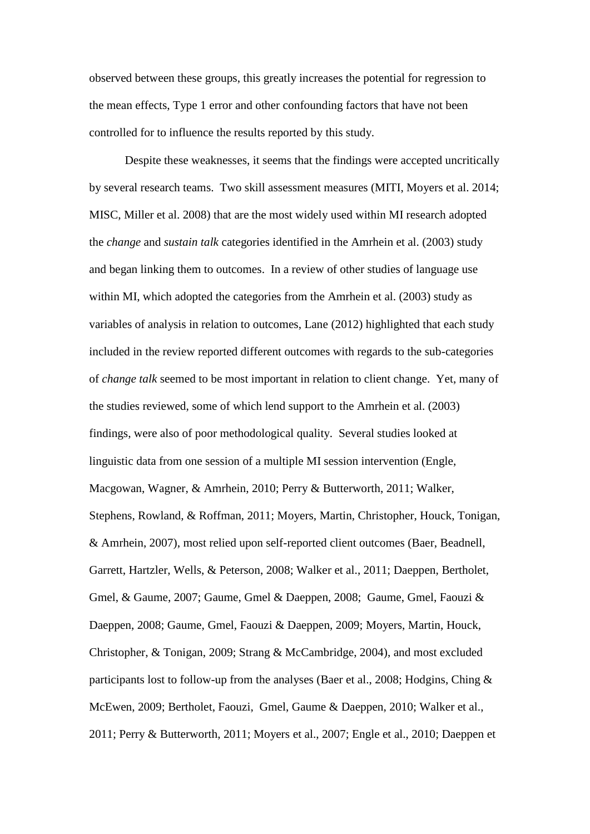observed between these groups, this greatly increases the potential for regression to the mean effects, Type 1 error and other confounding factors that have not been controlled for to influence the results reported by this study.

Despite these weaknesses, it seems that the findings were accepted uncritically by several research teams. Two skill assessment measures (MITI, Moyers et al. 2014; MISC, Miller et al. 2008) that are the most widely used within MI research adopted the *change* and *sustain talk* categories identified in the Amrhein et al. (2003) study and began linking them to outcomes. In a review of other studies of language use within MI, which adopted the categories from the Amrhein et al. (2003) study as variables of analysis in relation to outcomes, Lane (2012) highlighted that each study included in the review reported different outcomes with regards to the sub-categories of *change talk* seemed to be most important in relation to client change. Yet, many of the studies reviewed, some of which lend support to the Amrhein et al. (2003) findings, were also of poor methodological quality. Several studies looked at linguistic data from one session of a multiple MI session intervention (Engle, Macgowan, Wagner, & Amrhein, 2010; Perry & Butterworth, 2011; Walker, Stephens, Rowland, & Roffman, 2011; Moyers, Martin, Christopher, Houck, Tonigan, & Amrhein, 2007), most relied upon self-reported client outcomes (Baer, Beadnell, Garrett, Hartzler, Wells, & Peterson, 2008; Walker et al., 2011; Daeppen, Bertholet, Gmel, & Gaume, 2007; Gaume, Gmel & Daeppen, 2008; Gaume, Gmel, Faouzi & Daeppen, 2008; Gaume, Gmel, Faouzi & Daeppen, 2009; Moyers, Martin, Houck, Christopher, & Tonigan, 2009; Strang & McCambridge, 2004), and most excluded participants lost to follow-up from the analyses (Baer et al., 2008; Hodgins, Ching & McEwen, 2009; Bertholet, Faouzi, Gmel, Gaume & Daeppen, 2010; Walker et al., 2011; Perry & Butterworth, 2011; Moyers et al., 2007; Engle et al., 2010; Daeppen et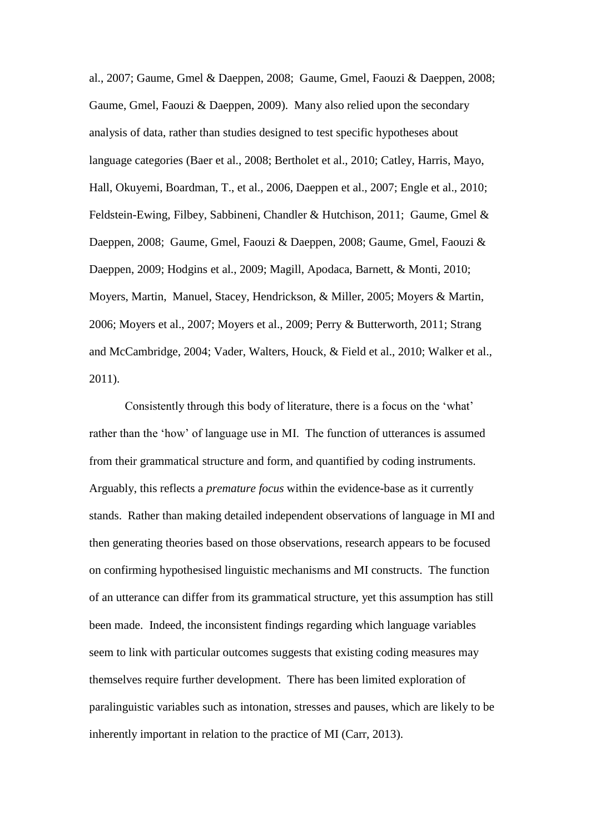al., 2007; Gaume, Gmel & Daeppen, 2008; Gaume, Gmel, Faouzi & Daeppen, 2008; Gaume, Gmel, Faouzi & Daeppen, 2009). Many also relied upon the secondary analysis of data, rather than studies designed to test specific hypotheses about language categories (Baer et al., 2008; Bertholet et al., 2010; Catley, Harris, Mayo, Hall, Okuyemi, Boardman, T., et al., 2006, Daeppen et al., 2007; Engle et al., 2010; Feldstein-Ewing, Filbey, Sabbineni, Chandler & Hutchison, 2011; Gaume, Gmel & Daeppen, 2008; Gaume, Gmel, Faouzi & Daeppen, 2008; Gaume, Gmel, Faouzi & Daeppen, 2009; Hodgins et al., 2009; Magill, Apodaca, Barnett, & Monti, 2010; Moyers, Martin, Manuel, Stacey, Hendrickson, & Miller, 2005; Moyers & Martin, 2006; Moyers et al., 2007; Moyers et al., 2009; Perry & Butterworth, 2011; Strang and McCambridge, 2004; Vader, Walters, Houck, & Field et al., 2010; Walker et al., 2011).

Consistently through this body of literature, there is a focus on the 'what' rather than the 'how' of language use in MI. The function of utterances is assumed from their grammatical structure and form, and quantified by coding instruments. Arguably, this reflects a *premature focus* within the evidence-base as it currently stands. Rather than making detailed independent observations of language in MI and then generating theories based on those observations, research appears to be focused on confirming hypothesised linguistic mechanisms and MI constructs. The function of an utterance can differ from its grammatical structure, yet this assumption has still been made. Indeed, the inconsistent findings regarding which language variables seem to link with particular outcomes suggests that existing coding measures may themselves require further development. There has been limited exploration of paralinguistic variables such as intonation, stresses and pauses, which are likely to be inherently important in relation to the practice of MI (Carr, 2013).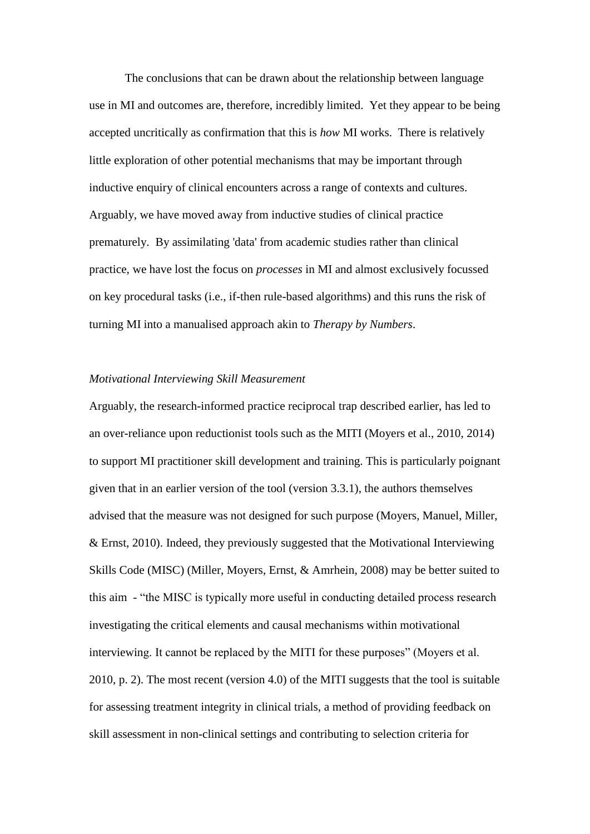The conclusions that can be drawn about the relationship between language use in MI and outcomes are, therefore, incredibly limited. Yet they appear to be being accepted uncritically as confirmation that this is *how* MI works. There is relatively little exploration of other potential mechanisms that may be important through inductive enquiry of clinical encounters across a range of contexts and cultures. Arguably, we have moved away from inductive studies of clinical practice prematurely. By assimilating 'data' from academic studies rather than clinical practice, we have lost the focus on *processes* in MI and almost exclusively focussed on key procedural tasks (i.e., if-then rule-based algorithms) and this runs the risk of turning MI into a manualised approach akin to *Therapy by Numbers*.

## *Motivational Interviewing Skill Measurement*

Arguably, the research-informed practice reciprocal trap described earlier, has led to an over-reliance upon reductionist tools such as the MITI (Moyers et al., 2010, 2014) to support MI practitioner skill development and training. This is particularly poignant given that in an earlier version of the tool (version 3.3.1), the authors themselves advised that the measure was not designed for such purpose (Moyers, Manuel, Miller, & Ernst, 2010). Indeed, they previously suggested that the Motivational Interviewing Skills Code (MISC) (Miller, Moyers, Ernst, & Amrhein, 2008) may be better suited to this aim - "the MISC is typically more useful in conducting detailed process research investigating the critical elements and causal mechanisms within motivational interviewing. It cannot be replaced by the MITI for these purposes" (Moyers et al. 2010, p. 2). The most recent (version 4.0) of the MITI suggests that the tool is suitable for assessing treatment integrity in clinical trials, a method of providing feedback on skill assessment in non-clinical settings and contributing to selection criteria for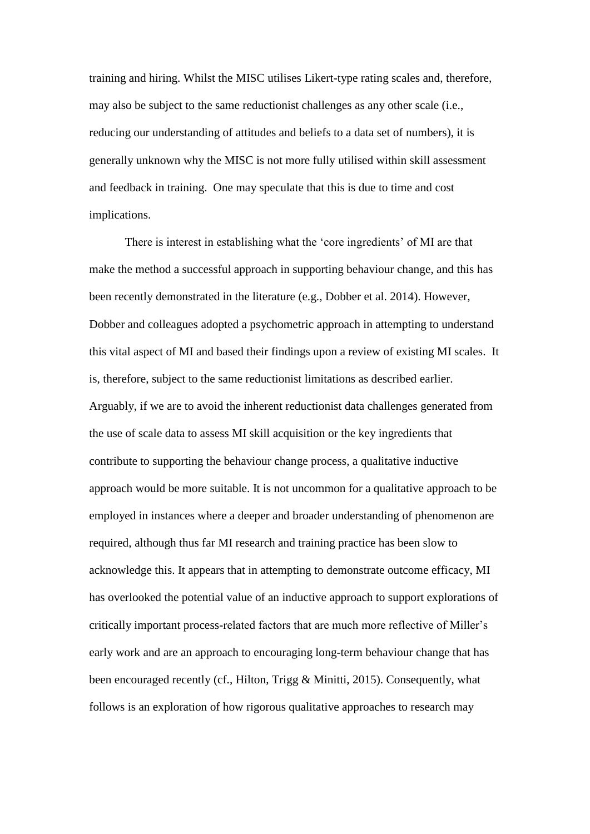training and hiring. Whilst the MISC utilises Likert-type rating scales and, therefore, may also be subject to the same reductionist challenges as any other scale (i.e., reducing our understanding of attitudes and beliefs to a data set of numbers), it is generally unknown why the MISC is not more fully utilised within skill assessment and feedback in training. One may speculate that this is due to time and cost implications.

There is interest in establishing what the 'core ingredients' of MI are that make the method a successful approach in supporting behaviour change, and this has been recently demonstrated in the literature (e.g., Dobber et al. 2014). However, Dobber and colleagues adopted a psychometric approach in attempting to understand this vital aspect of MI and based their findings upon a review of existing MI scales. It is, therefore, subject to the same reductionist limitations as described earlier. Arguably, if we are to avoid the inherent reductionist data challenges generated from the use of scale data to assess MI skill acquisition or the key ingredients that contribute to supporting the behaviour change process, a qualitative inductive approach would be more suitable. It is not uncommon for a qualitative approach to be employed in instances where a deeper and broader understanding of phenomenon are required, although thus far MI research and training practice has been slow to acknowledge this. It appears that in attempting to demonstrate outcome efficacy, MI has overlooked the potential value of an inductive approach to support explorations of critically important process-related factors that are much more reflective of Miller's early work and are an approach to encouraging long-term behaviour change that has been encouraged recently (cf., Hilton, Trigg & Minitti, 2015). Consequently, what follows is an exploration of how rigorous qualitative approaches to research may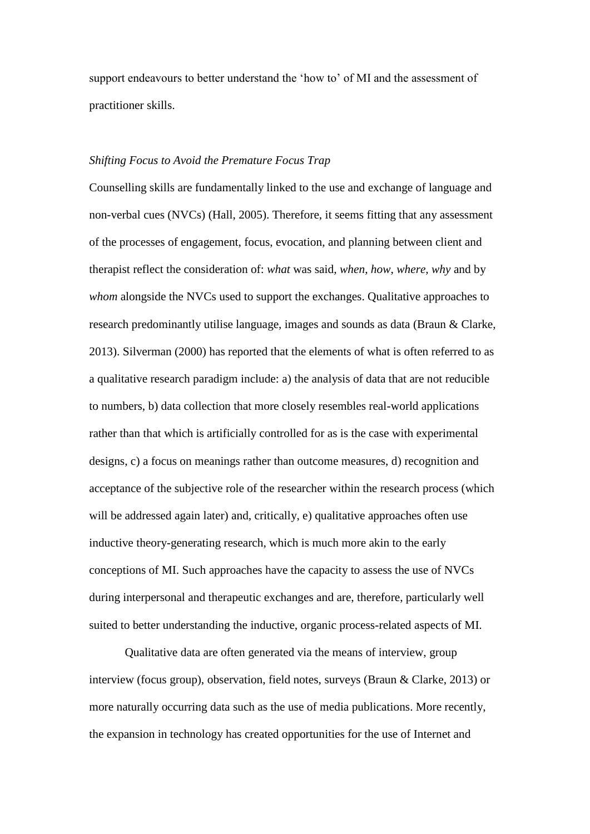support endeavours to better understand the 'how to' of MI and the assessment of practitioner skills.

# *Shifting Focus to Avoid the Premature Focus Trap*

Counselling skills are fundamentally linked to the use and exchange of language and non-verbal cues (NVCs) (Hall, 2005). Therefore, it seems fitting that any assessment of the processes of engagement, focus, evocation, and planning between client and therapist reflect the consideration of: *what* was said, *when*, *how*, *where, why* and by *whom* alongside the NVCs used to support the exchanges. Qualitative approaches to research predominantly utilise language, images and sounds as data (Braun & Clarke, 2013). Silverman (2000) has reported that the elements of what is often referred to as a qualitative research paradigm include: a) the analysis of data that are not reducible to numbers, b) data collection that more closely resembles real-world applications rather than that which is artificially controlled for as is the case with experimental designs, c) a focus on meanings rather than outcome measures, d) recognition and acceptance of the subjective role of the researcher within the research process (which will be addressed again later) and, critically, e) qualitative approaches often use inductive theory-generating research, which is much more akin to the early conceptions of MI. Such approaches have the capacity to assess the use of NVCs during interpersonal and therapeutic exchanges and are, therefore, particularly well suited to better understanding the inductive, organic process-related aspects of MI.

Qualitative data are often generated via the means of interview, group interview (focus group), observation, field notes, surveys (Braun & Clarke, 2013) or more naturally occurring data such as the use of media publications. More recently, the expansion in technology has created opportunities for the use of Internet and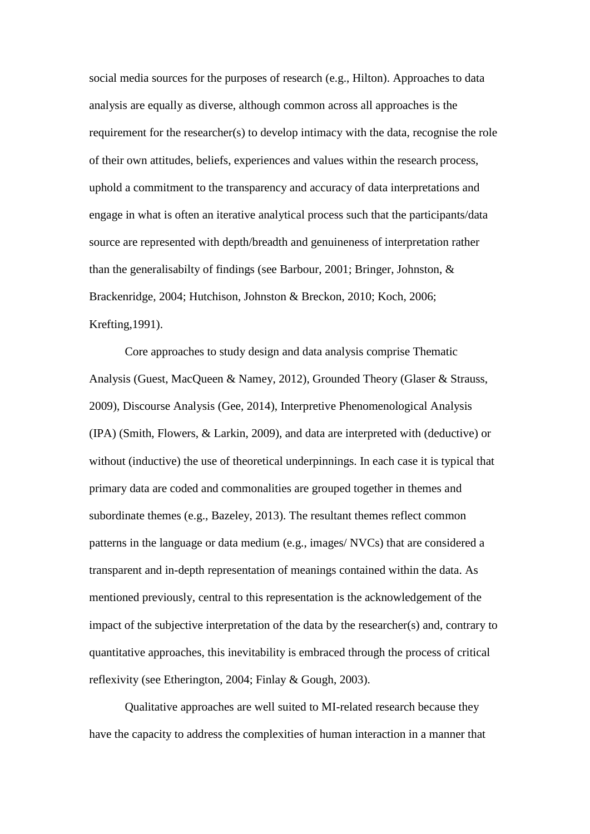social media sources for the purposes of research (e.g., Hilton). Approaches to data analysis are equally as diverse, although common across all approaches is the requirement for the researcher(s) to develop intimacy with the data, recognise the role of their own attitudes, beliefs, experiences and values within the research process, uphold a commitment to the transparency and accuracy of data interpretations and engage in what is often an iterative analytical process such that the participants/data source are represented with depth/breadth and genuineness of interpretation rather than the generalisabilty of findings (see Barbour, 2001; Bringer, Johnston, & Brackenridge, 2004; Hutchison, Johnston & Breckon, 2010; Koch, 2006; Krefting,1991).

Core approaches to study design and data analysis comprise Thematic Analysis (Guest, MacQueen & Namey, 2012), Grounded Theory (Glaser & Strauss, 2009), Discourse Analysis (Gee, 2014), Interpretive Phenomenological Analysis (IPA) (Smith, Flowers, & Larkin, 2009), and data are interpreted with (deductive) or without (inductive) the use of theoretical underpinnings. In each case it is typical that primary data are coded and commonalities are grouped together in themes and subordinate themes (e.g., Bazeley, 2013). The resultant themes reflect common patterns in the language or data medium (e.g., images/ NVCs) that are considered a transparent and in-depth representation of meanings contained within the data. As mentioned previously, central to this representation is the acknowledgement of the impact of the subjective interpretation of the data by the researcher(s) and, contrary to quantitative approaches, this inevitability is embraced through the process of critical reflexivity (see Etherington, 2004; Finlay & Gough, 2003).

Qualitative approaches are well suited to MI-related research because they have the capacity to address the complexities of human interaction in a manner that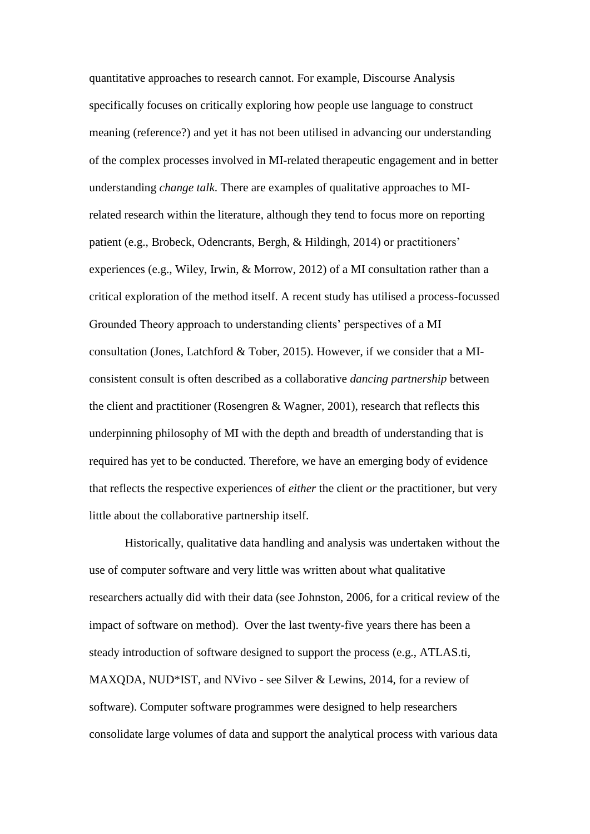quantitative approaches to research cannot. For example, Discourse Analysis specifically focuses on critically exploring how people use language to construct meaning (reference?) and yet it has not been utilised in advancing our understanding of the complex processes involved in MI-related therapeutic engagement and in better understanding *change talk*. There are examples of qualitative approaches to MIrelated research within the literature, although they tend to focus more on reporting patient (e.g., Brobeck, Odencrants, Bergh, & Hildingh, 2014) or practitioners' experiences (e.g., Wiley, Irwin, & Morrow, 2012) of a MI consultation rather than a critical exploration of the method itself. A recent study has utilised a process-focussed Grounded Theory approach to understanding clients' perspectives of a MI consultation (Jones, Latchford & Tober, 2015). However, if we consider that a MIconsistent consult is often described as a collaborative *dancing partnership* between the client and practitioner (Rosengren & Wagner, 2001), research that reflects this underpinning philosophy of MI with the depth and breadth of understanding that is required has yet to be conducted. Therefore, we have an emerging body of evidence that reflects the respective experiences of *either* the client *or* the practitioner, but very little about the collaborative partnership itself.

Historically, qualitative data handling and analysis was undertaken without the use of computer software and very little was written about what qualitative researchers actually did with their data (see Johnston, 2006, for a critical review of the impact of software on method). Over the last twenty-five years there has been a steady introduction of software designed to support the process (e.g., ATLAS.ti, MAXQDA, NUD\*IST, and NVivo - see Silver & Lewins, 2014, for a review of software). Computer software programmes were designed to help researchers consolidate large volumes of data and support the analytical process with various data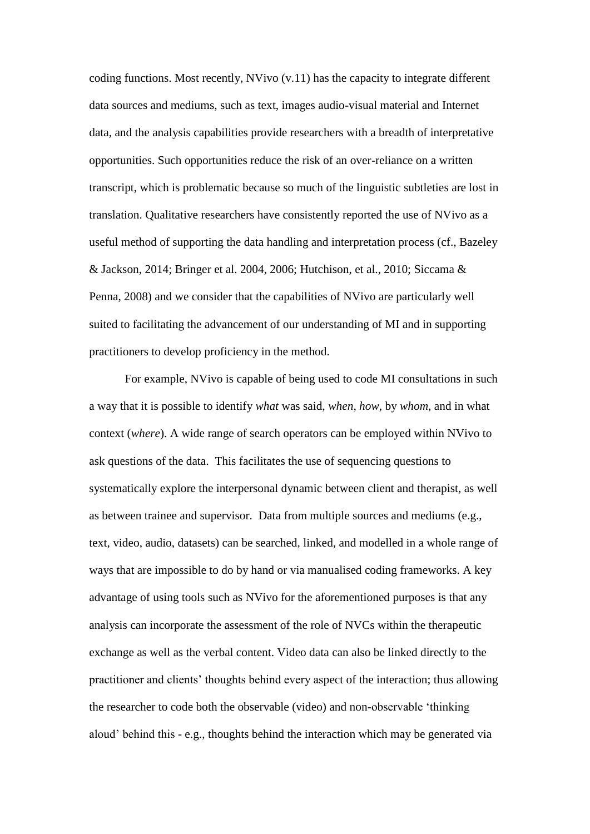coding functions. Most recently, NVivo (v.11) has the capacity to integrate different data sources and mediums, such as text, images audio-visual material and Internet data, and the analysis capabilities provide researchers with a breadth of interpretative opportunities. Such opportunities reduce the risk of an over-reliance on a written transcript, which is problematic because so much of the linguistic subtleties are lost in translation. Qualitative researchers have consistently reported the use of NVivo as a useful method of supporting the data handling and interpretation process (cf., Bazeley & Jackson, 2014; Bringer et al. 2004, 2006; Hutchison, et al., 2010; Siccama & Penna, 2008) and we consider that the capabilities of NVivo are particularly well suited to facilitating the advancement of our understanding of MI and in supporting practitioners to develop proficiency in the method.

For example, NVivo is capable of being used to code MI consultations in such a way that it is possible to identify *what* was said, *when*, *how*, by *whom*, and in what context (*where*). A wide range of search operators can be employed within NVivo to ask questions of the data. This facilitates the use of sequencing questions to systematically explore the interpersonal dynamic between client and therapist, as well as between trainee and supervisor. Data from multiple sources and mediums (e.g., text, video, audio, datasets) can be searched, linked, and modelled in a whole range of ways that are impossible to do by hand or via manualised coding frameworks. A key advantage of using tools such as NVivo for the aforementioned purposes is that any analysis can incorporate the assessment of the role of NVCs within the therapeutic exchange as well as the verbal content. Video data can also be linked directly to the practitioner and clients' thoughts behind every aspect of the interaction; thus allowing the researcher to code both the observable (video) and non-observable 'thinking aloud' behind this - e.g., thoughts behind the interaction which may be generated via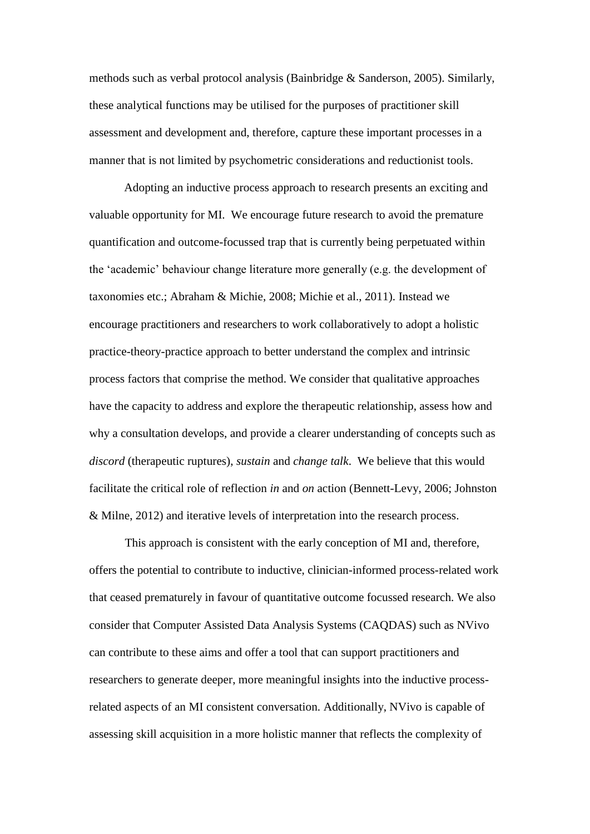methods such as verbal protocol analysis (Bainbridge & Sanderson, 2005). Similarly, these analytical functions may be utilised for the purposes of practitioner skill assessment and development and, therefore, capture these important processes in a manner that is not limited by psychometric considerations and reductionist tools.

Adopting an inductive process approach to research presents an exciting and valuable opportunity for MI. We encourage future research to avoid the premature quantification and outcome-focussed trap that is currently being perpetuated within the 'academic' behaviour change literature more generally (e.g. the development of taxonomies etc.; Abraham & Michie, 2008; Michie et al., 2011). Instead we encourage practitioners and researchers to work collaboratively to adopt a holistic practice-theory-practice approach to better understand the complex and intrinsic process factors that comprise the method. We consider that qualitative approaches have the capacity to address and explore the therapeutic relationship, assess how and why a consultation develops, and provide a clearer understanding of concepts such as *discord* (therapeutic ruptures), *sustain* and *change talk*. We believe that this would facilitate the critical role of reflection *in* and *on* action (Bennett-Levy, 2006; Johnston & Milne, 2012) and iterative levels of interpretation into the research process.

This approach is consistent with the early conception of MI and, therefore, offers the potential to contribute to inductive, clinician-informed process-related work that ceased prematurely in favour of quantitative outcome focussed research. We also consider that Computer Assisted Data Analysis Systems (CAQDAS) such as NVivo can contribute to these aims and offer a tool that can support practitioners and researchers to generate deeper, more meaningful insights into the inductive processrelated aspects of an MI consistent conversation. Additionally, NVivo is capable of assessing skill acquisition in a more holistic manner that reflects the complexity of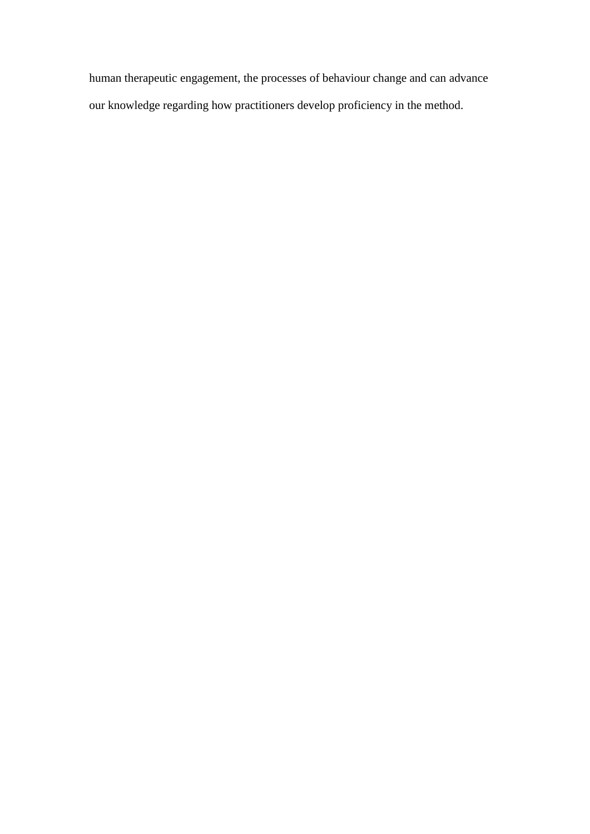human therapeutic engagement, the processes of behaviour change and can advance our knowledge regarding how practitioners develop proficiency in the method.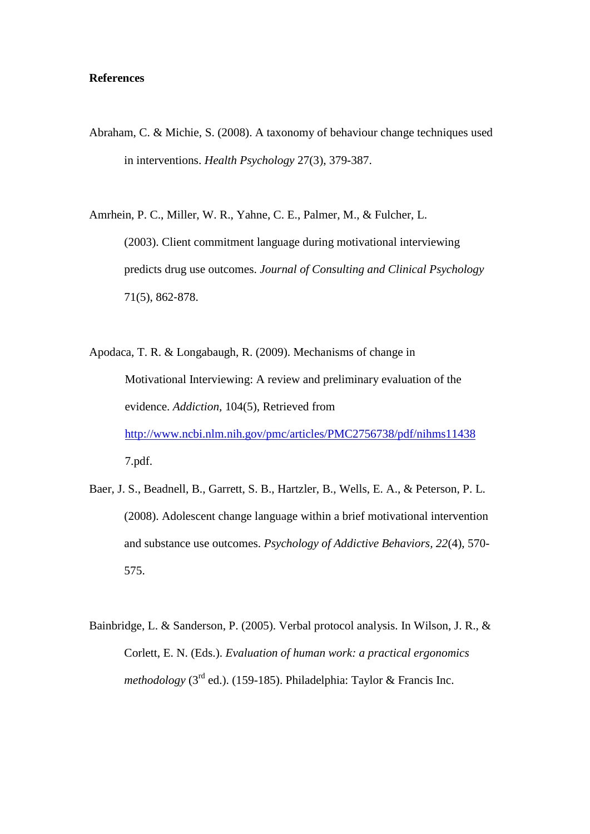# **References**

Abraham, C. & Michie, S. (2008). A taxonomy of behaviour change techniques used in interventions. *Health Psychology* 27(3), 379-387.

Amrhein, P. C., Miller, W. R., Yahne, C. E., Palmer, M., & Fulcher, L. (2003). Client commitment language during motivational interviewing predicts drug use outcomes. *Journal of Consulting and Clinical Psychology* 71(5), 862‐878.

Apodaca, T. R. & Longabaugh, R. (2009). Mechanisms of change in Motivational Interviewing: A review and preliminary evaluation of the evidence. *Addiction,* 104(5), Retrieved from <http://www.ncbi.nlm.nih.gov/pmc/articles/PMC2756738/pdf/nihms11438> 7.pdf.

- Baer, J. S., Beadnell, B., Garrett, S. B., Hartzler, B., Wells, E. A., & Peterson, P. L. (2008). Adolescent change language within a brief motivational intervention and substance use outcomes. *Psychology of Addictive Behaviors, 22*(4), 570- 575.
- Bainbridge, L. & Sanderson, P. (2005). Verbal protocol analysis. In Wilson, J. R., & Corlett, E. N. (Eds.). *Evaluation of human work: a practical ergonomics methodology* ( $3<sup>rd</sup>$  ed.). (159-185). Philadelphia: Taylor & Francis Inc.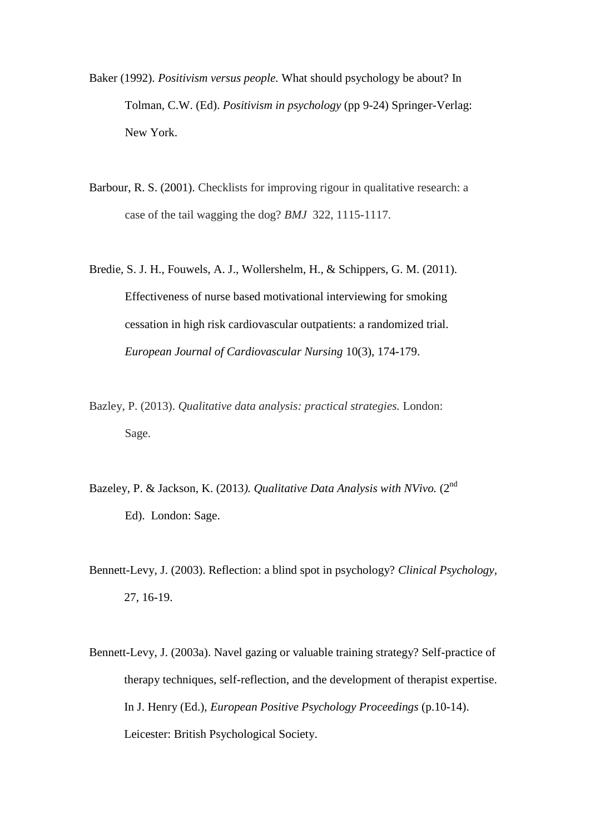- Baker (1992). *Positivism versus people.* What should psychology be about? In Tolman, C.W. (Ed). *Positivism in psychology* (pp 9-24) Springer-Verlag: New York.
- Barbour, R. S. (2001). Checklists for improving rigour in qualitative research: a case of the tail wagging the dog? *BMJ* 322, 1115-1117.
- Bredie, S. J. H., Fouwels, A. J., Wollershelm, H., & Schippers, G. M. (2011). Effectiveness of nurse based motivational interviewing for smoking cessation in high risk cardiovascular outpatients: a randomized trial. *European Journal of Cardiovascular Nursing* 10(3), 174-179.
- Bazley, P. (2013). *Qualitative data analysis: practical strategies.* London: Sage.
- Bazeley, P. & Jackson, K. (2013*). Qualitative Data Analysis with NVivo.* (2nd Ed). London: Sage.
- Bennett-Levy, J. (2003). Reflection: a blind spot in psychology? *Clinical Psychology,*  27, 16-19.
- Bennett-Levy, J. (2003a). Navel gazing or valuable training strategy? Self-practice of therapy techniques, self-reflection, and the development of therapist expertise. In J. Henry (Ed.), *European Positive Psychology Proceedings* (p.10-14). Leicester: British Psychological Society.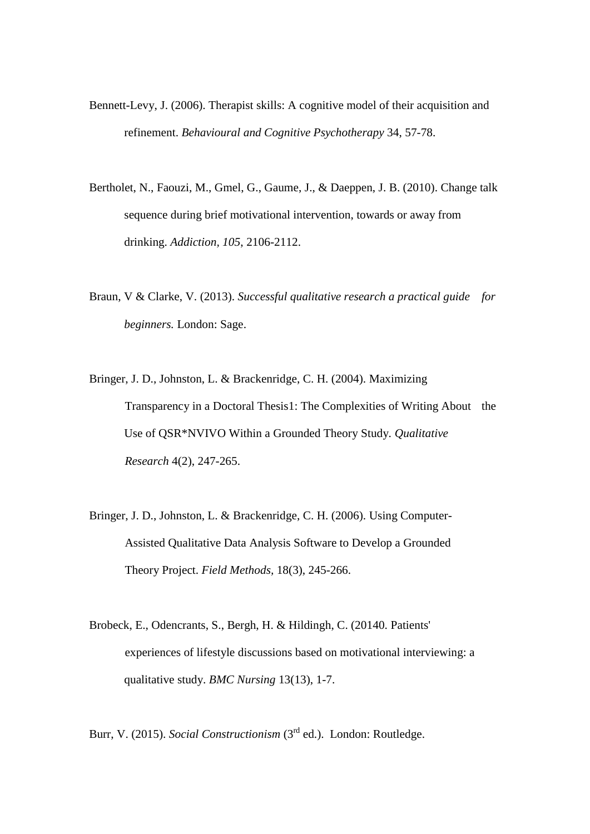- Bennett-Levy, J. (2006). Therapist skills: A cognitive model of their acquisition and refinement. *Behavioural and Cognitive Psychotherapy* 34, 57-78.
- Bertholet, N., Faouzi, M., Gmel, G., Gaume, J., & Daeppen, J. B. (2010). Change talk sequence during brief motivational intervention, towards or away from drinking. *Addiction, 105*, 2106-2112.
- Braun, V & Clarke, V. (2013). *Successful qualitative research a practical guide for beginners.* London: Sage.
- Bringer, J. D., Johnston, L. & Brackenridge, C. H. (2004). Maximizing Transparency in a Doctoral Thesis1: The Complexities of Writing About the Use of QSR\*NVIVO Within a Grounded Theory Study. *Qualitative Research* 4(2), 247-265.
- Bringer, J. D., Johnston, L. & Brackenridge, C. H. (2006). Using Computer-Assisted Qualitative Data Analysis Software to Develop a Grounded Theory Project. *Field Methods,* 18(3), 245-266.
- Brobeck, E., Odencrants, S., Bergh, H. & Hildingh, C. (20140. Patients' experiences of lifestyle discussions based on motivational interviewing: a qualitative study. *BMC Nursing* 13(13), 1-7.

Burr, V. (2015). *Social Constructionism* (3<sup>rd</sup> ed.). London: Routledge.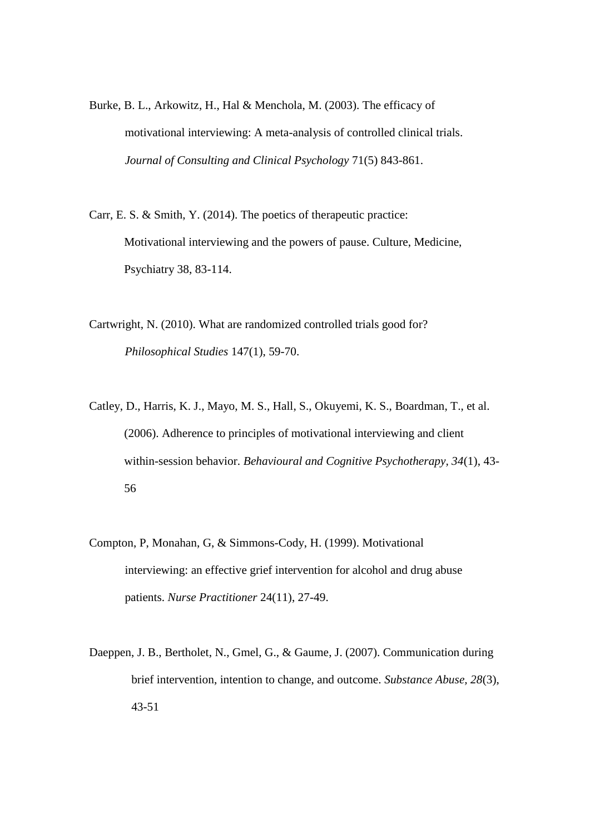- Burke, B. L., Arkowitz, H., Hal & Menchola, M. (2003). The efficacy of motivational interviewing: A meta-analysis of controlled clinical trials. *Journal of Consulting and Clinical Psychology* 71(5) 843-861.
- Carr, E. S. & Smith, Y. (2014). The poetics of therapeutic practice: Motivational interviewing and the powers of pause. Culture, Medicine, Psychiatry 38, 83-114.
- Cartwright, N. (2010). What are randomized controlled trials good for? *Philosophical Studies* 147(1), 59-70.
- Catley, D., Harris, K. J., Mayo, M. S., Hall, S., Okuyemi, K. S., Boardman, T., et al. (2006). Adherence to principles of motivational interviewing and client within-session behavior. *Behavioural and Cognitive Psychotherapy, 34*(1), 43- 56
- Compton, P, Monahan, G, & Simmons-Cody, H. (1999). Motivational interviewing: an effective grief intervention for alcohol and drug abuse patients. *Nurse Practitioner* 24(11), 27-49.
- Daeppen, J. B., Bertholet, N., Gmel, G., & Gaume, J. (2007). Communication during brief intervention, intention to change, and outcome. *Substance Abuse, 28*(3), 43-51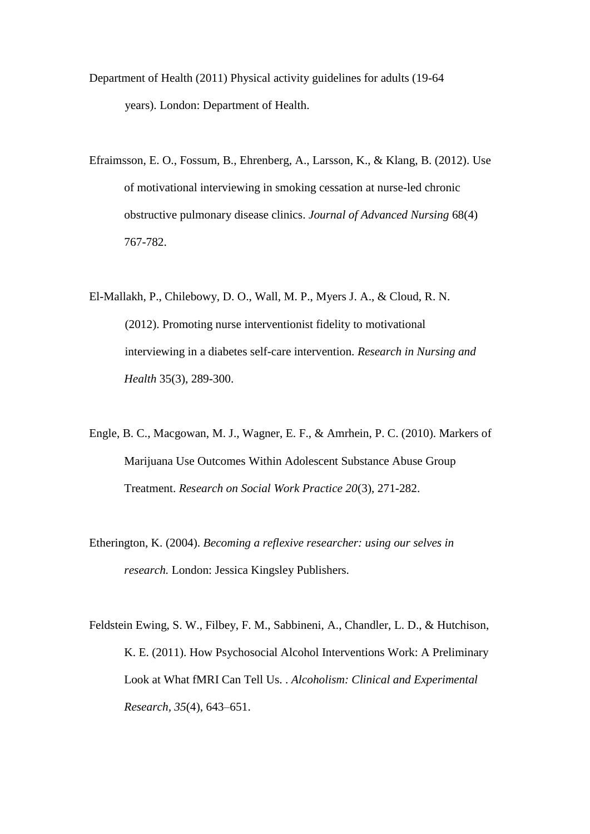- Department of Health (2011) Physical activity guidelines for adults (19-64 years). London: Department of Health.
- Efraimsson, E. O., Fossum, B., Ehrenberg, A., Larsson, K., & Klang, B. (2012). Use of motivational interviewing in smoking cessation at nurse-led chronic obstructive pulmonary disease clinics. *Journal of Advanced Nursing* 68(4) 767-782.
- El-Mallakh, P., Chilebowy, D. O., Wall, M. P., Myers J. A., & Cloud, R. N. (2012). Promoting nurse interventionist fidelity to motivational interviewing in a diabetes self-care intervention. *Research in Nursing and Health* 35(3), 289-300.
- Engle, B. C., Macgowan, M. J., Wagner, E. F., & Amrhein, P. C. (2010). Markers of Marijuana Use Outcomes Within Adolescent Substance Abuse Group Treatment. *Research on Social Work Practice 20*(3), 271-282.
- Etherington, K. (2004). *Becoming a reflexive researcher: using our selves in research.* London: Jessica Kingsley Publishers.
- Feldstein Ewing, S. W., Filbey, F. M., Sabbineni, A., Chandler, L. D., & Hutchison, K. E. (2011). How Psychosocial Alcohol Interventions Work: A Preliminary Look at What fMRI Can Tell Us. . *Alcoholism: Clinical and Experimental Research, 35*(4), 643–651.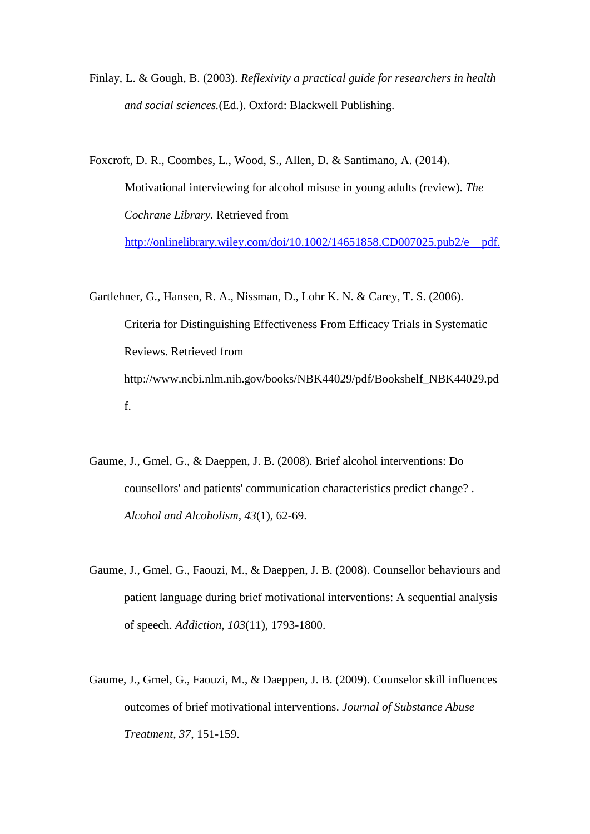Finlay, L. & Gough, B. (2003). *Reflexivity a practical guide for researchers in health and social sciences.*(Ed.). Oxford: Blackwell Publishing.

Foxcroft, D. R., Coombes, L., Wood, S., Allen, D. & Santimano, A. (2014). Motivational interviewing for alcohol misuse in young adults (review). *The Cochrane Library.* Retrieved from [http://onlinelibrary.wiley.com/doi/10.1002/14651858.CD007025.pub2/e](http://onlinelibrary.wiley.com/doi/10.1002/14651858.CD007025.pub2/epdf) pdf.

- Gartlehner, G., Hansen, R. A., Nissman, D., Lohr K. N. & Carey, T. S. (2006). Criteria for Distinguishing Effectiveness From Efficacy Trials in Systematic Reviews. Retrieved from http://www.ncbi.nlm.nih.gov/books/NBK44029/pdf/Bookshelf\_NBK44029.pd f.
- Gaume, J., Gmel, G., & Daeppen, J. B. (2008). Brief alcohol interventions: Do counsellors' and patients' communication characteristics predict change? . *Alcohol and Alcoholism, 43*(1), 62-69.
- Gaume, J., Gmel, G., Faouzi, M., & Daeppen, J. B. (2008). Counsellor behaviours and patient language during brief motivational interventions: A sequential analysis of speech. *Addiction, 103*(11), 1793-1800.
- Gaume, J., Gmel, G., Faouzi, M., & Daeppen, J. B. (2009). Counselor skill influences outcomes of brief motivational interventions. *Journal of Substance Abuse Treatment, 37*, 151-159.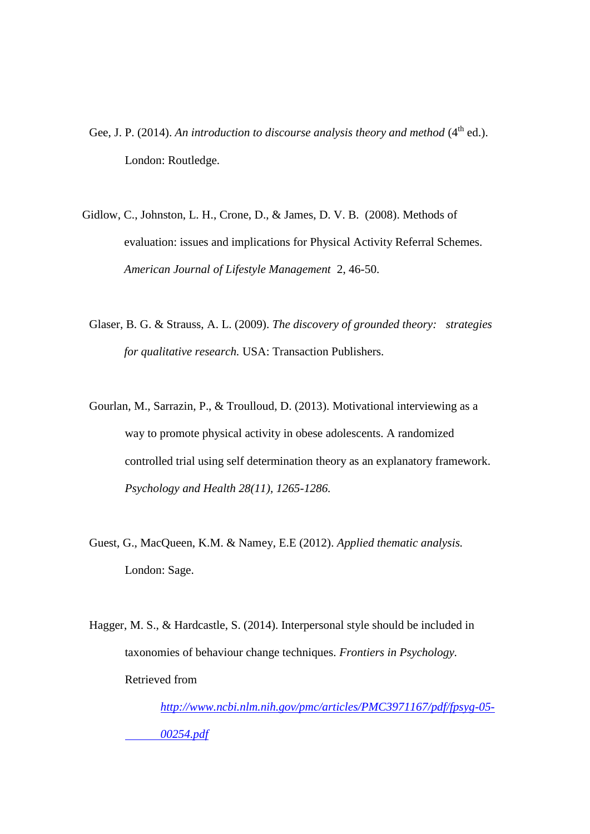- Gee, J. P. (2014). An introduction to discourse analysis theory and method (4<sup>th</sup> ed.). London: Routledge.
- Gidlow, C., Johnston, L. H., Crone, D., & James, D. V. B. (2008). Methods of evaluation: issues and implications for Physical Activity Referral Schemes. *American Journal of Lifestyle Management* 2, 46-50.
	- Glaser, B. G. & Strauss, A. L. (2009). *The discovery of grounded theory: strategies for qualitative research.* USA: Transaction Publishers.
	- Gourlan, M., Sarrazin, P., & Troulloud, D. (2013). Motivational interviewing as a way to promote physical activity in obese adolescents. A randomized controlled trial using self determination theory as an explanatory framework. *Psychology and Health 28(11), 1265-1286.*
	- Guest, G., MacQueen, K.M. & Namey, E.E (2012). *Applied thematic analysis.*  London: Sage.
	- Hagger, M. S., & Hardcastle, S. (2014). Interpersonal style should be included in taxonomies of behaviour change techniques. *Frontiers in Psychology.*  Retrieved from

*[http://www.ncbi.nlm.nih.gov/pmc/articles/PMC3971167/pdf/fpsyg-05-](http://www.ncbi.nlm.nih.gov/pmc/articles/PMC3971167/pdf/fpsyg-05-00254.pdf) [00254.pdf](http://www.ncbi.nlm.nih.gov/pmc/articles/PMC3971167/pdf/fpsyg-05-00254.pdf)*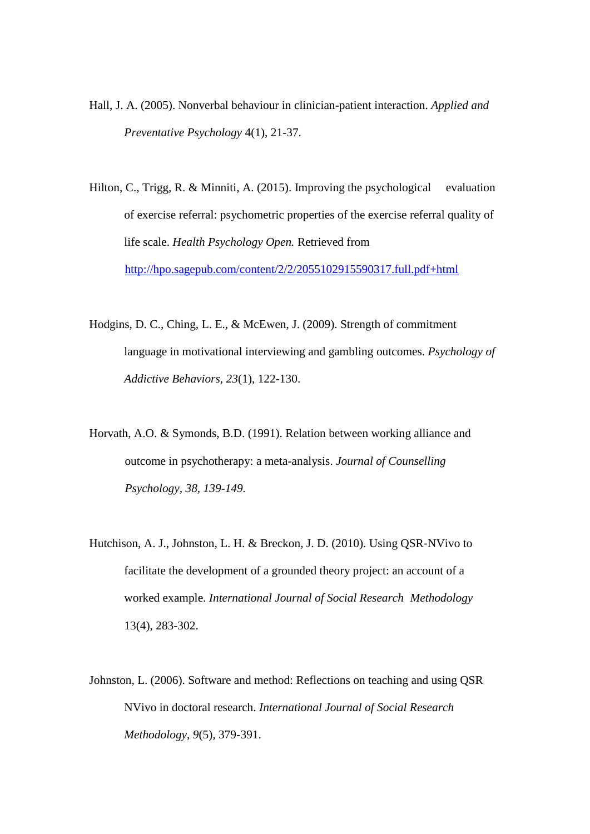- Hall, J. A. (2005). Nonverbal behaviour in clinician-patient interaction. *Applied and Preventative Psychology* 4(1), 21-37.
- Hilton, C., Trigg, R. & Minniti, A. (2015). Improving the psychological evaluation of exercise referral: psychometric properties of the exercise referral quality of life scale. *Health Psychology Open.* Retrieved from <http://hpo.sagepub.com/content/2/2/2055102915590317.full.pdf+html>
- Hodgins, D. C., Ching, L. E., & McEwen, J. (2009). Strength of commitment language in motivational interviewing and gambling outcomes. *Psychology of Addictive Behaviors, 23*(1), 122-130.
- Horvath, A.O. & Symonds, B.D. (1991). Relation between working alliance and outcome in psychotherapy: a meta-analysis. *Journal of Counselling Psychology, 38, 139-149.*
- Hutchison, A. J., Johnston, L. H. & Breckon, J. D. (2010). Using QSR‐NVivo to facilitate the development of a grounded theory project: an account of a worked example. *International Journal of Social Research Methodology*  13(4), 283-302.
- Johnston, L. (2006). Software and method: Reflections on teaching and using QSR NVivo in doctoral research. *International Journal of Social Research Methodology*, *9*(5), 379-391.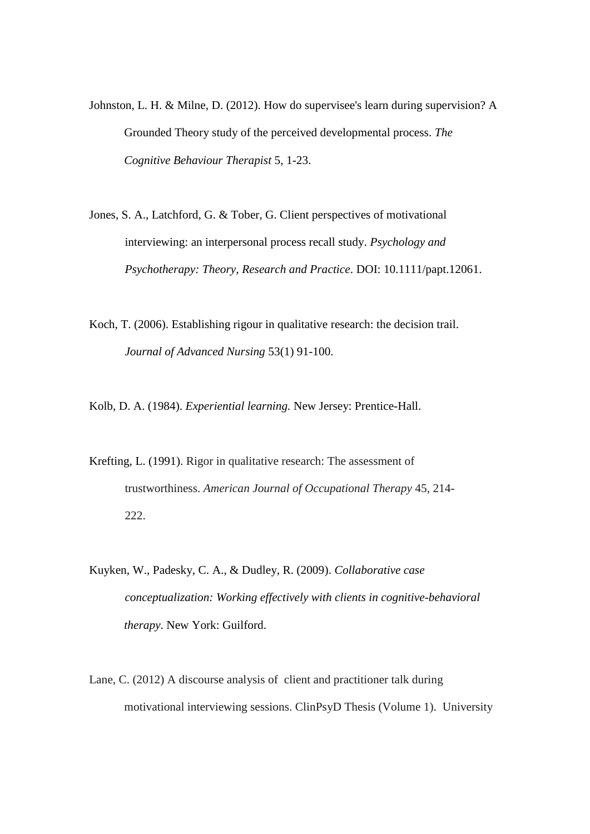- Johnston, L. H. & Milne, D. (2012). How do supervisee's learn during supervision? A Grounded Theory study of the perceived developmental process. *The Cognitive Behaviour Therapist* 5, 1-23.
- Jones, S. A., Latchford, G. & Tober, G. Client perspectives of motivational interviewing: an interpersonal process recall study. *Psychology and Psychotherapy: Theory, Research and Practice*. DOI: 10.1111/papt.12061.
- Koch, T. (2006). Establishing rigour in qualitative research: the decision trail. *Journal of Advanced Nursing* 53(1) 91-100.

Kolb, D. A. (1984). *Experiential learning.* New Jersey: Prentice-Hall.

- Krefting, L. (1991). Rigor in qualitative research: The assessment of trustworthiness. *American Journal of Occupational Therapy* 45, 214- 222.
- Kuyken, W., Padesky, C. A., & Dudley, R. (2009). *Collaborative case conceptualization: Working effectively with clients in cognitive-behavioral therapy*. New York: Guilford.
- Lane, C. (2012) A discourse analysis of client and practitioner talk during motivational interviewing sessions. ClinPsyD Thesis (Volume 1). University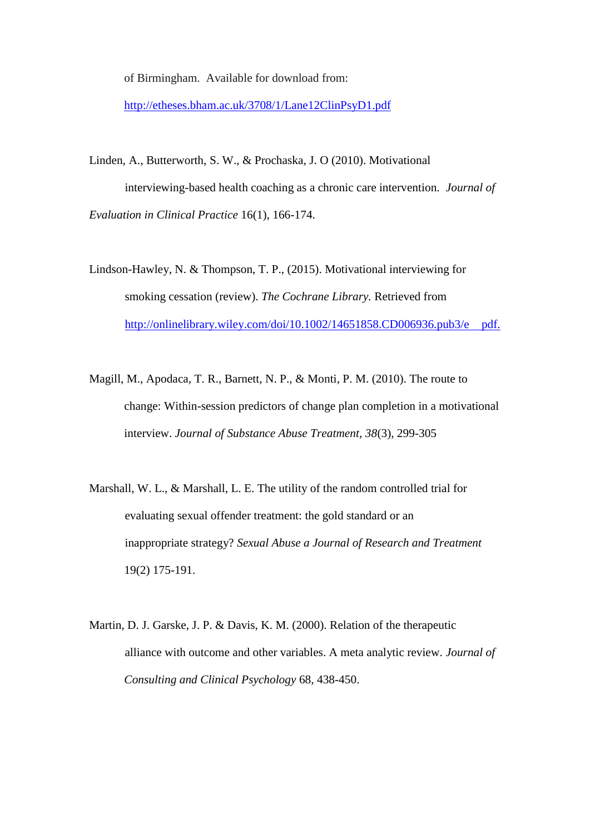of Birmingham. Available for download from:

<http://etheses.bham.ac.uk/3708/1/Lane12ClinPsyD1.pdf>

- Linden, A., Butterworth, S. W., & Prochaska, J. O (2010). Motivational interviewing-based health coaching as a chronic care intervention. *Journal of Evaluation in Clinical Practice* 16(1), 166-174.
- Lindson-Hawley, N. & Thompson, T. P., (2015). Motivational interviewing for smoking cessation (review). *The Cochrane Library.* Retrieved from [http://onlinelibrary.wiley.com/doi/10.1002/14651858.CD006936.pub3/e](http://onlinelibrary.wiley.com/doi/10.1002/14651858.CD006936.pub3/epdf) pdf.
- Magill, M., Apodaca, T. R., Barnett, N. P., & Monti, P. M. (2010). The route to change: Within-session predictors of change plan completion in a motivational interview. *Journal of Substance Abuse Treatment, 38*(3), 299-305
- Marshall, W. L., & Marshall, L. E. The utility of the random controlled trial for evaluating sexual offender treatment: the gold standard or an inappropriate strategy? *Sexual Abuse a Journal of Research and Treatment*  19(2) 175-191.
- Martin, D. J. Garske, J. P. & Davis, K. M. (2000). Relation of the therapeutic alliance with outcome and other variables. A meta analytic review. *Journal of Consulting and Clinical Psychology* 68, 438-450.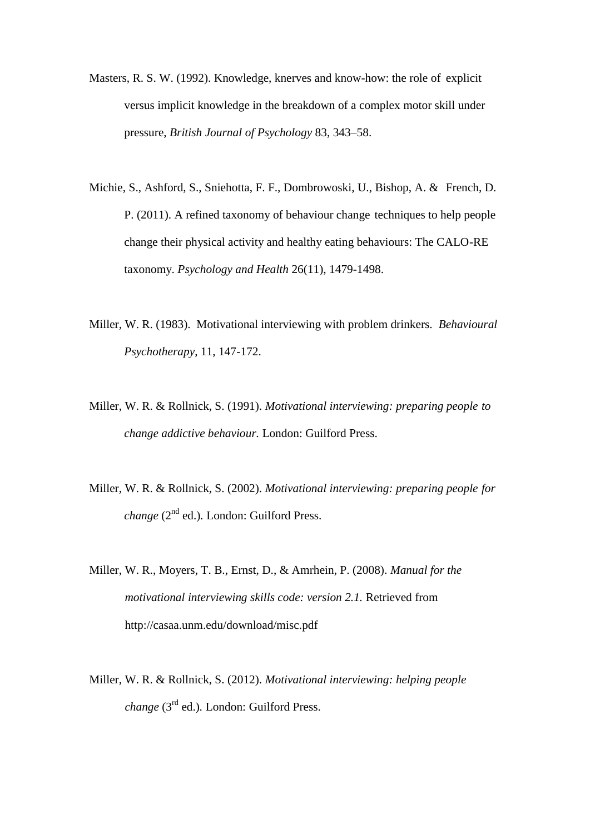- Masters, R. S. W. (1992). Knowledge, knerves and know-how: the role of explicit versus implicit knowledge in the breakdown of a complex motor skill under pressure, *British Journal of Psychology* 83, 343–58.
- Michie, S., Ashford, S., Sniehotta, F. F., Dombrowoski, U., Bishop, A. & French, D. P. (2011). A refined taxonomy of behaviour change techniques to help people change their physical activity and healthy eating behaviours: The CALO-RE taxonomy. *Psychology and Health* 26(11), 1479-1498.
- Miller, W. R. (1983). Motivational interviewing with problem drinkers. *Behavioural Psychotherapy*, 11, 147-172.
- Miller, W. R. & Rollnick, S. (1991). *Motivational interviewing: preparing people to change addictive behaviour.* London: Guilford Press.
- Miller, W. R. & Rollnick, S. (2002). *Motivational interviewing: preparing people for change* (2<sup>nd</sup> ed.). London: Guilford Press.
- Miller, W. R., Moyers, T. B., Ernst, D., & Amrhein, P. (2008). *Manual for the motivational interviewing skills code: version 2.1.* Retrieved from http://casaa.unm.edu/download/misc.pdf
- Miller, W. R. & Rollnick, S. (2012). *Motivational interviewing: helping people change* (3rd ed.)*.* London: Guilford Press.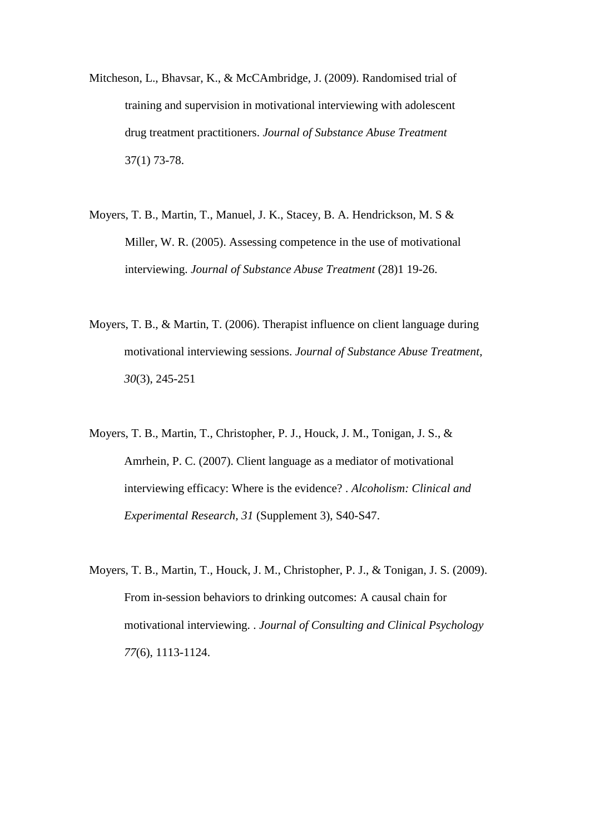- Mitcheson, L., Bhavsar, K., & McCAmbridge, J. (2009). Randomised trial of training and supervision in motivational interviewing with adolescent drug treatment practitioners. *Journal of Substance Abuse Treatment*  37(1) 73-78.
- Moyers, T. B., Martin, T., Manuel, J. K., Stacey, B. A. Hendrickson, M. S & Miller, W. R. (2005). Assessing competence in the use of motivational interviewing. *Journal of Substance Abuse Treatment* (28)1 19-26.
- Moyers, T. B., & Martin, T. (2006). Therapist influence on client language during motivational interviewing sessions. *Journal of Substance Abuse Treatment, 30*(3), 245-251
- Moyers, T. B., Martin, T., Christopher, P. J., Houck, J. M., Tonigan, J. S., & Amrhein, P. C. (2007). Client language as a mediator of motivational interviewing efficacy: Where is the evidence? . *Alcoholism: Clinical and Experimental Research, 31* (Supplement 3), S40-S47.
- Moyers, T. B., Martin, T., Houck, J. M., Christopher, P. J., & Tonigan, J. S. (2009). From in-session behaviors to drinking outcomes: A causal chain for motivational interviewing. . *Journal of Consulting and Clinical Psychology 77*(6), 1113-1124.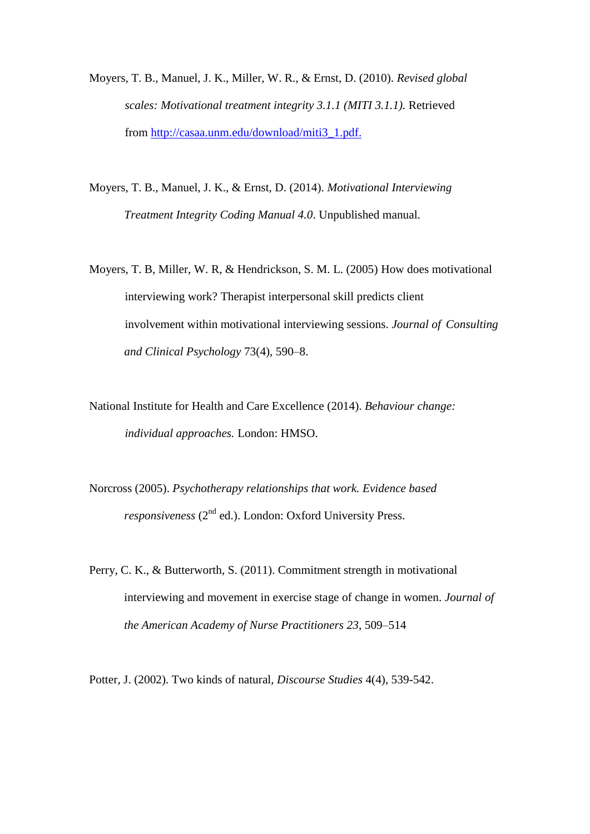- Moyers, T. B., Manuel, J. K., Miller, W. R., & Ernst, D. (2010). *Revised global scales: Motivational treatment integrity 3.1.1 (MITI 3.1.1).* Retrieved from [http://casaa.unm.edu/download/miti3\\_1.pdf.](http://casaa.unm.edu/download/miti3_1.pdf)
- Moyers, T. B., Manuel, J. K., & Ernst, D. (2014). *Motivational Interviewing Treatment Integrity Coding Manual 4.0*. Unpublished manual.
- Moyers, T. B, Miller, W. R, & Hendrickson, S. M. L. (2005) How does motivational interviewing work? Therapist interpersonal skill predicts client involvement within motivational interviewing sessions. *Journal of Consulting and Clinical Psychology* 73(4), 590–8.
- National Institute for Health and Care Excellence (2014). *Behaviour change: individual approaches.* London: HMSO.
- Norcross (2005). *Psychotherapy relationships that work. Evidence based responsiveness* (2<sup>nd</sup> ed.). London: Oxford University Press.
- Perry, C. K., & Butterworth, S. (2011). Commitment strength in motivational interviewing and movement in exercise stage of change in women. *Journal of the American Academy of Nurse Practitioners 23*, 509–514

Potter, J. (2002). Two kinds of natural, *Discourse Studies* 4(4), 539-542.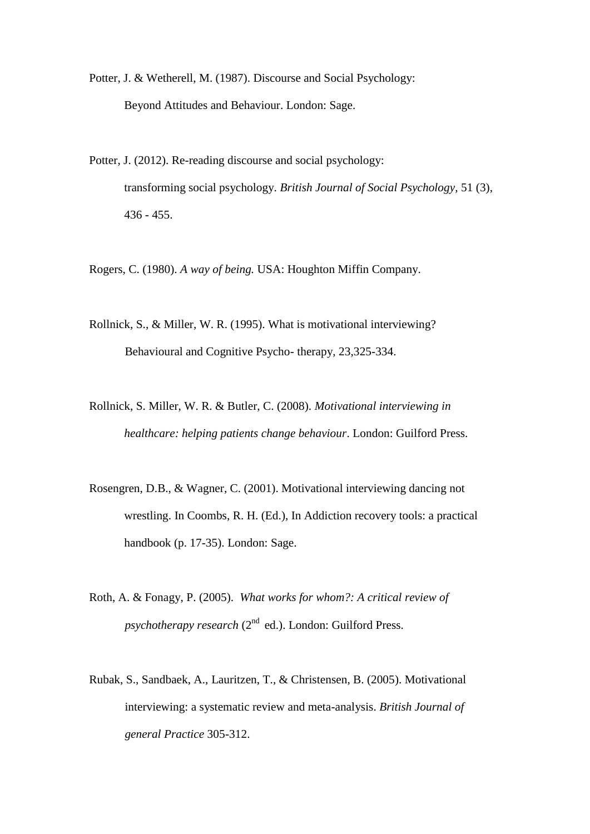Potter, J. & Wetherell, M. (1987). Discourse and Social Psychology: Beyond Attitudes and Behaviour. London: Sage.

Potter, J. (2012). Re-reading discourse and social psychology: transforming social psychology. *British Journal of Social Psychology,* 51 (3), 436 - 455.

Rogers, C. (1980). *A way of being.* USA: Houghton Miffin Company.

- Rollnick, S., & Miller, W. R. (1995). What is motivational interviewing? Behavioural and Cognitive Psycho- therapy, 23,325-334.
- Rollnick, S. Miller, W. R. & Butler, C. (2008). *Motivational interviewing in healthcare: helping patients change behaviour*. London: Guilford Press.
- Rosengren, D.B., & Wagner, C. (2001). Motivational interviewing dancing not wrestling. In Coombs, R. H. (Ed.), In Addiction recovery tools: a practical handbook (p. 17-35). London: Sage.
- Roth, A. & Fonagy, P. (2005). *What works for whom?: A critical review of psychotherapy research* (2<sup>nd</sup> ed.). London: Guilford Press.
- Rubak, S., Sandbaek, A., Lauritzen, T., & Christensen, B. (2005). Motivational interviewing: a systematic review and meta-analysis. *British Journal of general Practice* 305-312.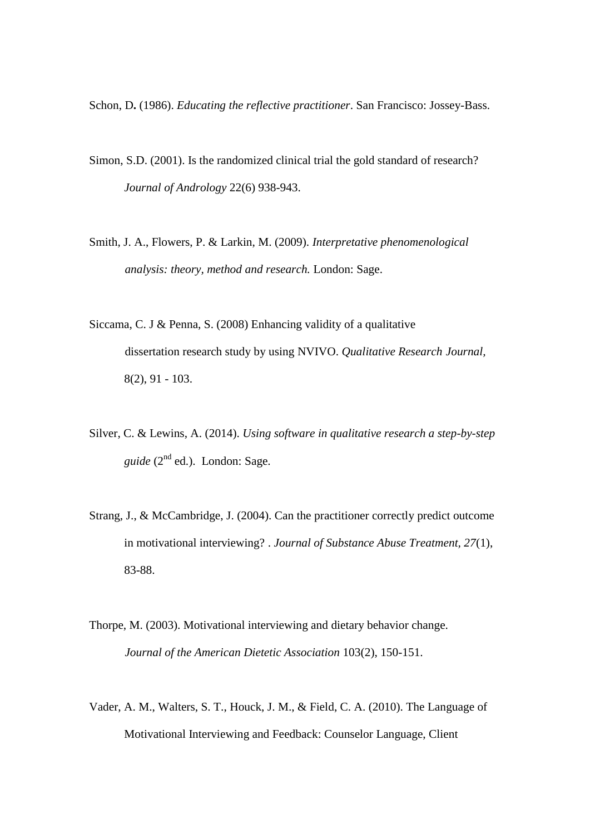Schon, D**.** (1986). *Educating the reflective practitioner*. San Francisco: Jossey-Bass.

- Simon, S.D. (2001). Is the randomized clinical trial the gold standard of research? *Journal of Andrology* 22(6) 938-943.
- Smith, J. A., Flowers, P. & Larkin, M. (2009). *Interpretative phenomenological analysis: theory, method and research.* London: Sage.
- Siccama, C. J & Penna, S. (2008) Enhancing validity of a qualitative dissertation research study by using NVIVO. *Qualitative Research Journal,* 8(2), 91 - 103.
- Silver, C. & Lewins, A. (2014). *Using software in qualitative research a step-by-step guide* (2nd ed.). London: Sage.
- Strang, J., & McCambridge, J. (2004). Can the practitioner correctly predict outcome in motivational interviewing? . *Journal of Substance Abuse Treatment, 27*(1), 83-88.
- Thorpe, M. (2003). Motivational interviewing and dietary behavior change. *Journal of the American Dietetic Association* 103(2), 150-151.
- Vader, A. M., Walters, S. T., Houck, J. M., & Field, C. A. (2010). The Language of Motivational Interviewing and Feedback: Counselor Language, Client